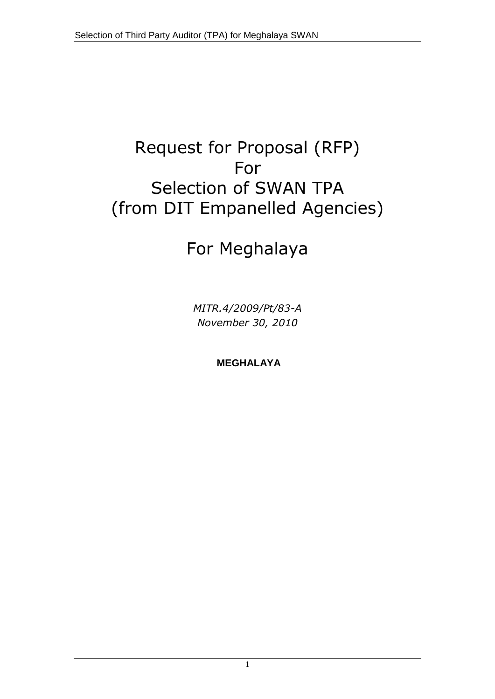# Request for Proposal (RFP) For Selection of SWAN TPA (from DIT Empanelled Agencies)

# For Meghalaya

*MITR.4/2009/Pt/83-A November 30, 2010*

**MEGHALAYA**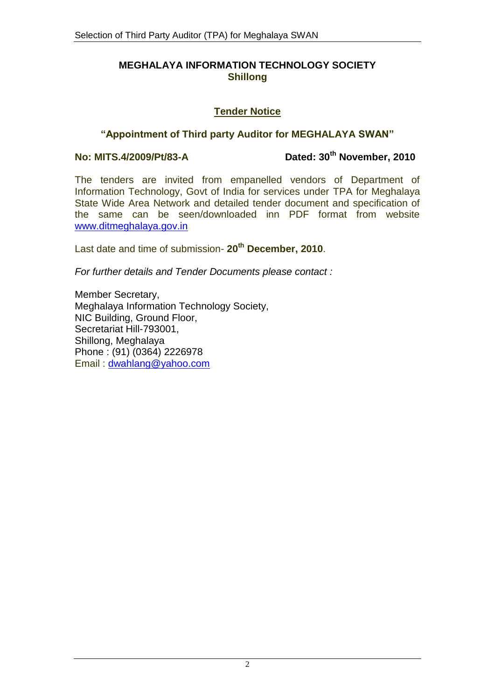#### **MEGHALAYA INFORMATION TECHNOLOGY SOCIETY Shillong**

#### **Tender Notice**

#### **"Appointment of Third party Auditor for MEGHALAYA SWAN"**

**No: MITS.4/2009/Pt/83-A Dated: 30th November, 2010**

The tenders are invited from empanelled vendors of Department of Information Technology, Govt of India for services under TPA for Meghalaya State Wide Area Network and detailed tender document and specification of the same can be seen/downloaded inn PDF format from website [www.ditmeghalaya.gov.in](http://www.ditmeghalaya.gov.in/) 

Last date and time of submission- **20th December, 2010**.

*For further details and Tender Documents please contact :*

Member Secretary, Meghalaya Information Technology Society, NIC Building, Ground Floor, Secretariat Hill-793001, Shillong, Meghalaya Phone : (91) (0364) 2226978 Email : [dwahlang@yahoo.com](mailto:dwahlang@yahoo.com)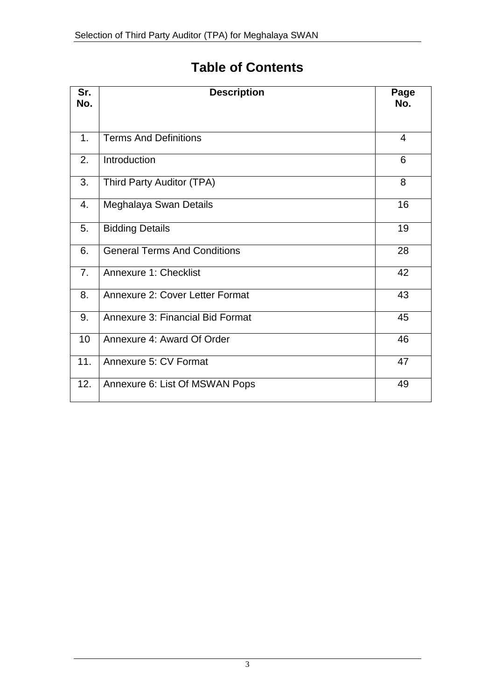# **Table of Contents**

| Sr.<br>No.     | <b>Description</b>                  | Page<br>No.    |
|----------------|-------------------------------------|----------------|
|                |                                     |                |
| 1.             | <b>Terms And Definitions</b>        | $\overline{4}$ |
| 2.             | Introduction                        | 6              |
| 3.             | Third Party Auditor (TPA)           | 8              |
| 4.             | Meghalaya Swan Details              | 16             |
| 5.             | <b>Bidding Details</b>              | 19             |
| 6.             | <b>General Terms And Conditions</b> | 28             |
| 7 <sub>1</sub> | <b>Annexure 1: Checklist</b>        | 42             |
| 8.             | Annexure 2: Cover Letter Format     | 43             |
| 9.             | Annexure 3: Financial Bid Format    | 45             |
| 10             | Annexure 4: Award Of Order          | 46             |
| 11.            | Annexure 5: CV Format               | 47             |
| 12.            | Annexure 6: List Of MSWAN Pops      | 49             |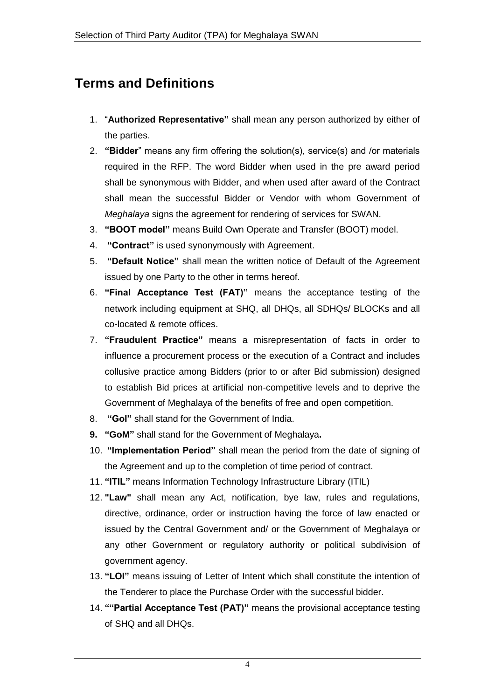# **Terms and Definitions**

- 1. "**Authorized Representative"** shall mean any person authorized by either of the parties.
- 2. **"Bidder**" means any firm offering the solution(s), service(s) and /or materials required in the RFP. The word Bidder when used in the pre award period shall be synonymous with Bidder, and when used after award of the Contract shall mean the successful Bidder or Vendor with whom Government of *Meghalaya* signs the agreement for rendering of services for SWAN.
- 3. **"BOOT model"** means Build Own Operate and Transfer (BOOT) model.
- 4. **"Contract"** is used synonymously with Agreement.
- 5. **"Default Notice"** shall mean the written notice of Default of the Agreement issued by one Party to the other in terms hereof.
- 6. **"Final Acceptance Test (FAT)"** means the acceptance testing of the network including equipment at SHQ, all DHQs, all SDHQs/ BLOCKs and all co-located & remote offices.
- 7. **"Fraudulent Practice"** means a misrepresentation of facts in order to influence a procurement process or the execution of a Contract and includes collusive practice among Bidders (prior to or after Bid submission) designed to establish Bid prices at artificial non-competitive levels and to deprive the Government of Meghalaya of the benefits of free and open competition.
- 8. **"GoI"** shall stand for the Government of India.
- **9. "GoM"** shall stand for the Government of Meghalaya**.**
- 10. **"Implementation Period"** shall mean the period from the date of signing of the Agreement and up to the completion of time period of contract.
- 11. **"ITIL"** means Information Technology Infrastructure Library (ITIL)
- 12. **"Law"** shall mean any Act, notification, bye law, rules and regulations, directive, ordinance, order or instruction having the force of law enacted or issued by the Central Government and/ or the Government of Meghalaya or any other Government or regulatory authority or political subdivision of government agency.
- 13. **"LOI"** means issuing of Letter of Intent which shall constitute the intention of the Tenderer to place the Purchase Order with the successful bidder.
- 14. **""Partial Acceptance Test (PAT)"** means the provisional acceptance testing of SHQ and all DHQs.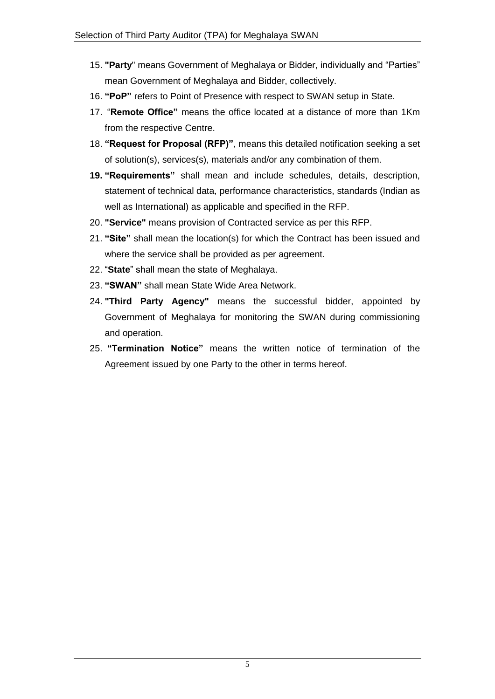- 15. **"Party**" means Government of Meghalaya or Bidder, individually and "Parties" mean Government of Meghalaya and Bidder, collectively.
- 16. **"PoP"** refers to Point of Presence with respect to SWAN setup in State.
- 17. "**Remote Office"** means the office located at a distance of more than 1Km from the respective Centre.
- 18. **"Request for Proposal (RFP)"**, means this detailed notification seeking a set of solution(s), services(s), materials and/or any combination of them.
- **19. "Requirements"** shall mean and include schedules, details, description, statement of technical data, performance characteristics, standards (Indian as well as International) as applicable and specified in the RFP.
- 20. **"Service"** means provision of Contracted service as per this RFP.
- 21. **"Site"** shall mean the location(s) for which the Contract has been issued and where the service shall be provided as per agreement.
- 22. "**State**" shall mean the state of Meghalaya.
- 23. **"SWAN"** shall mean State Wide Area Network.
- 24. **"Third Party Agency"** means the successful bidder, appointed by Government of Meghalaya for monitoring the SWAN during commissioning and operation.
- 25. **"Termination Notice"** means the written notice of termination of the Agreement issued by one Party to the other in terms hereof.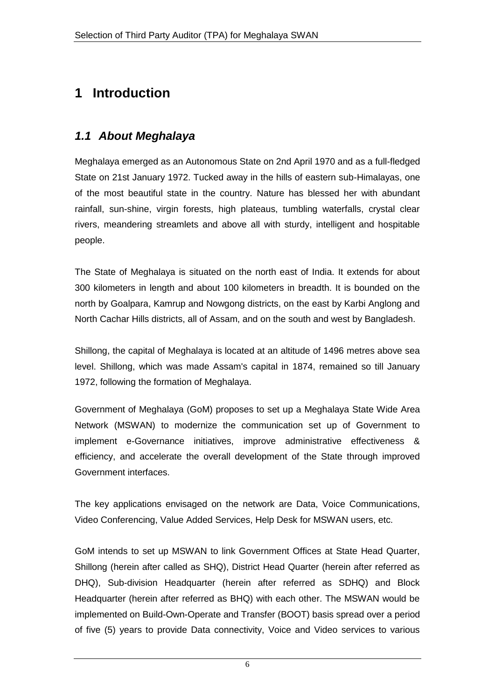# **1 Introduction**

# *1.1 About Meghalaya*

Meghalaya emerged as an Autonomous State on 2nd April 1970 and as a full-fledged State on 21st January 1972. Tucked away in the hills of eastern sub-Himalayas, one of the most beautiful state in the country. Nature has blessed her with abundant rainfall, sun-shine, virgin forests, high plateaus, tumbling waterfalls, crystal clear rivers, meandering streamlets and above all with sturdy, intelligent and hospitable people.

The State of Meghalaya is situated on the north east of India. It extends for about 300 kilometers in length and about 100 kilometers in breadth. It is bounded on the north by Goalpara, Kamrup and Nowgong districts, on the east by Karbi Anglong and North Cachar Hills districts, all of Assam, and on the south and west by Bangladesh.

Shillong, the capital of Meghalaya is located at an altitude of 1496 metres above sea level. Shillong, which was made Assam's capital in 1874, remained so till January 1972, following the formation of Meghalaya.

Government of Meghalaya (GoM) proposes to set up a Meghalaya State Wide Area Network (MSWAN) to modernize the communication set up of Government to implement e-Governance initiatives, improve administrative effectiveness & efficiency, and accelerate the overall development of the State through improved Government interfaces.

The key applications envisaged on the network are Data, Voice Communications, Video Conferencing, Value Added Services, Help Desk for MSWAN users, etc.

GoM intends to set up MSWAN to link Government Offices at State Head Quarter, Shillong (herein after called as SHQ), District Head Quarter (herein after referred as DHQ), Sub-division Headquarter (herein after referred as SDHQ) and Block Headquarter (herein after referred as BHQ) with each other. The MSWAN would be implemented on Build-Own-Operate and Transfer (BOOT) basis spread over a period of five (5) years to provide Data connectivity, Voice and Video services to various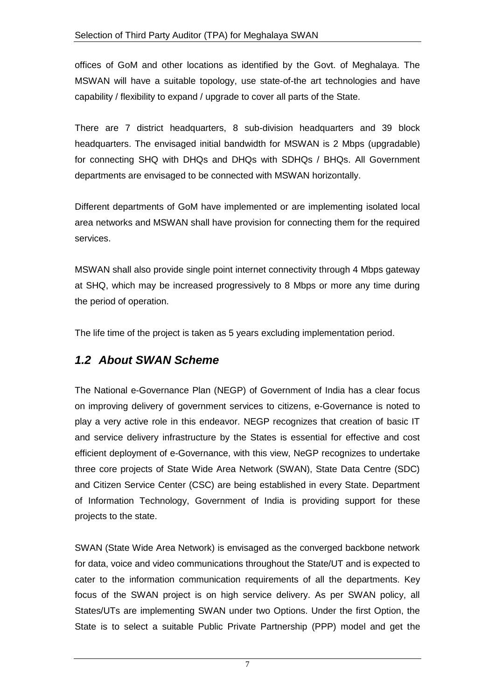offices of GoM and other locations as identified by the Govt. of Meghalaya. The MSWAN will have a suitable topology, use state-of-the art technologies and have capability / flexibility to expand / upgrade to cover all parts of the State.

There are 7 district headquarters, 8 sub-division headquarters and 39 block headquarters. The envisaged initial bandwidth for MSWAN is 2 Mbps (upgradable) for connecting SHQ with DHQs and DHQs with SDHQs / BHQs. All Government departments are envisaged to be connected with MSWAN horizontally.

Different departments of GoM have implemented or are implementing isolated local area networks and MSWAN shall have provision for connecting them for the required services.

MSWAN shall also provide single point internet connectivity through 4 Mbps gateway at SHQ, which may be increased progressively to 8 Mbps or more any time during the period of operation.

The life time of the project is taken as 5 years excluding implementation period.

## *1.2 About SWAN Scheme*

The National e-Governance Plan (NEGP) of Government of India has a clear focus on improving delivery of government services to citizens, e-Governance is noted to play a very active role in this endeavor. NEGP recognizes that creation of basic IT and service delivery infrastructure by the States is essential for effective and cost efficient deployment of e-Governance, with this view, NeGP recognizes to undertake three core projects of State Wide Area Network (SWAN), State Data Centre (SDC) and Citizen Service Center (CSC) are being established in every State. Department of Information Technology, Government of India is providing support for these projects to the state.

SWAN (State Wide Area Network) is envisaged as the converged backbone network for data, voice and video communications throughout the State/UT and is expected to cater to the information communication requirements of all the departments. Key focus of the SWAN project is on high service delivery. As per SWAN policy, all States/UTs are implementing SWAN under two Options. Under the first Option, the State is to select a suitable Public Private Partnership (PPP) model and get the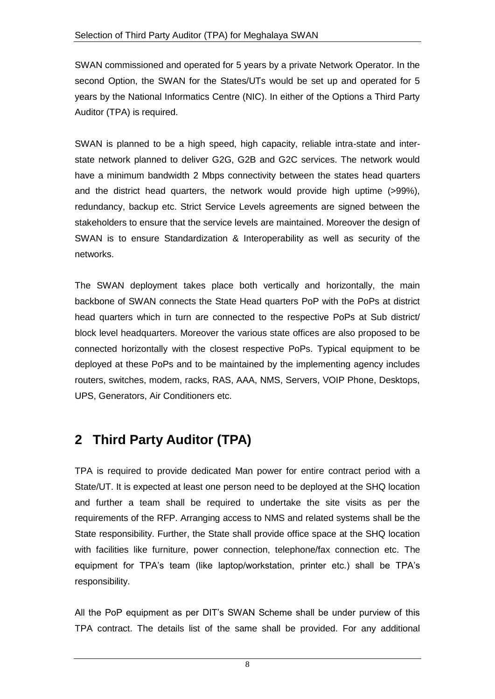SWAN commissioned and operated for 5 years by a private Network Operator. In the second Option, the SWAN for the States/UTs would be set up and operated for 5 years by the National Informatics Centre (NIC). In either of the Options a Third Party Auditor (TPA) is required.

SWAN is planned to be a high speed, high capacity, reliable intra-state and interstate network planned to deliver G2G, G2B and G2C services. The network would have a minimum bandwidth 2 Mbps connectivity between the states head quarters and the district head quarters, the network would provide high uptime (>99%), redundancy, backup etc. Strict Service Levels agreements are signed between the stakeholders to ensure that the service levels are maintained. Moreover the design of SWAN is to ensure Standardization & Interoperability as well as security of the networks.

The SWAN deployment takes place both vertically and horizontally, the main backbone of SWAN connects the State Head quarters PoP with the PoPs at district head quarters which in turn are connected to the respective PoPs at Sub district/ block level headquarters. Moreover the various state offices are also proposed to be connected horizontally with the closest respective PoPs. Typical equipment to be deployed at these PoPs and to be maintained by the implementing agency includes routers, switches, modem, racks, RAS, AAA, NMS, Servers, VOIP Phone, Desktops, UPS, Generators, Air Conditioners etc.

# **2 Third Party Auditor (TPA)**

TPA is required to provide dedicated Man power for entire contract period with a State/UT. It is expected at least one person need to be deployed at the SHQ location and further a team shall be required to undertake the site visits as per the requirements of the RFP. Arranging access to NMS and related systems shall be the State responsibility. Further, the State shall provide office space at the SHQ location with facilities like furniture, power connection, telephone/fax connection etc. The equipment for TPA's team (like laptop/workstation, printer etc.) shall be TPA's responsibility.

All the PoP equipment as per DIT"s SWAN Scheme shall be under purview of this TPA contract. The details list of the same shall be provided. For any additional

8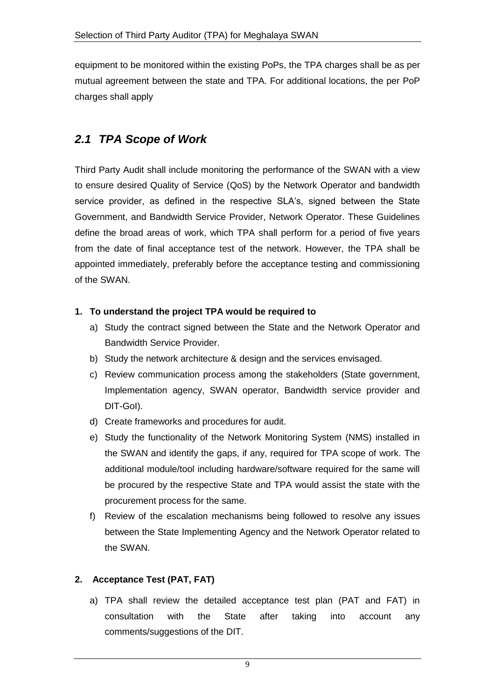equipment to be monitored within the existing PoPs, the TPA charges shall be as per mutual agreement between the state and TPA. For additional locations, the per PoP charges shall apply

# *2.1 TPA Scope of Work*

Third Party Audit shall include monitoring the performance of the SWAN with a view to ensure desired Quality of Service (QoS) by the Network Operator and bandwidth service provider, as defined in the respective SLA's, signed between the State Government, and Bandwidth Service Provider, Network Operator. These Guidelines define the broad areas of work, which TPA shall perform for a period of five years from the date of final acceptance test of the network. However, the TPA shall be appointed immediately, preferably before the acceptance testing and commissioning of the SWAN.

#### **1. To understand the project TPA would be required to**

- a) Study the contract signed between the State and the Network Operator and Bandwidth Service Provider.
- b) Study the network architecture & design and the services envisaged.
- c) Review communication process among the stakeholders (State government, Implementation agency, SWAN operator, Bandwidth service provider and DIT-GoI).
- d) Create frameworks and procedures for audit.
- e) Study the functionality of the Network Monitoring System (NMS) installed in the SWAN and identify the gaps, if any, required for TPA scope of work. The additional module/tool including hardware/software required for the same will be procured by the respective State and TPA would assist the state with the procurement process for the same.
- f) Review of the escalation mechanisms being followed to resolve any issues between the State Implementing Agency and the Network Operator related to the SWAN.

#### **2. Acceptance Test (PAT, FAT)**

a) TPA shall review the detailed acceptance test plan (PAT and FAT) in consultation with the State after taking into account any comments/suggestions of the DIT.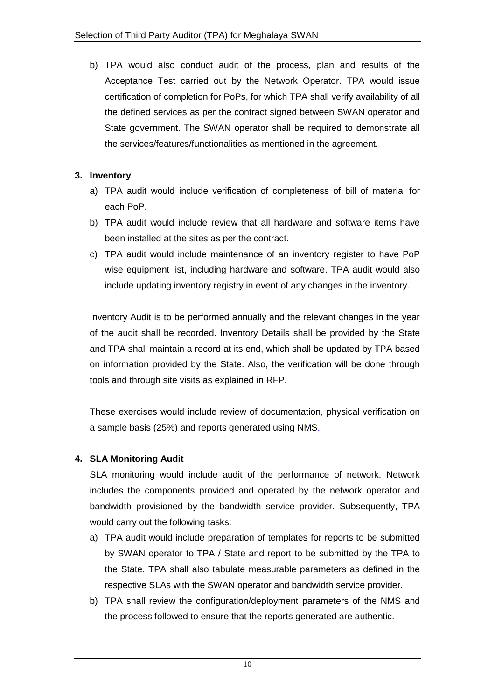b) TPA would also conduct audit of the process, plan and results of the Acceptance Test carried out by the Network Operator. TPA would issue certification of completion for PoPs, for which TPA shall verify availability of all the defined services as per the contract signed between SWAN operator and State government. The SWAN operator shall be required to demonstrate all the services/features/functionalities as mentioned in the agreement.

#### **3. Inventory**

- a) TPA audit would include verification of completeness of bill of material for each PoP.
- b) TPA audit would include review that all hardware and software items have been installed at the sites as per the contract.
- c) TPA audit would include maintenance of an inventory register to have PoP wise equipment list, including hardware and software. TPA audit would also include updating inventory registry in event of any changes in the inventory.

Inventory Audit is to be performed annually and the relevant changes in the year of the audit shall be recorded. Inventory Details shall be provided by the State and TPA shall maintain a record at its end, which shall be updated by TPA based on information provided by the State. Also, the verification will be done through tools and through site visits as explained in RFP.

These exercises would include review of documentation, physical verification on a sample basis (25%) and reports generated using NMS.

#### **4. SLA Monitoring Audit**

SLA monitoring would include audit of the performance of network. Network includes the components provided and operated by the network operator and bandwidth provisioned by the bandwidth service provider. Subsequently, TPA would carry out the following tasks:

- a) TPA audit would include preparation of templates for reports to be submitted by SWAN operator to TPA / State and report to be submitted by the TPA to the State. TPA shall also tabulate measurable parameters as defined in the respective SLAs with the SWAN operator and bandwidth service provider.
- b) TPA shall review the configuration/deployment parameters of the NMS and the process followed to ensure that the reports generated are authentic.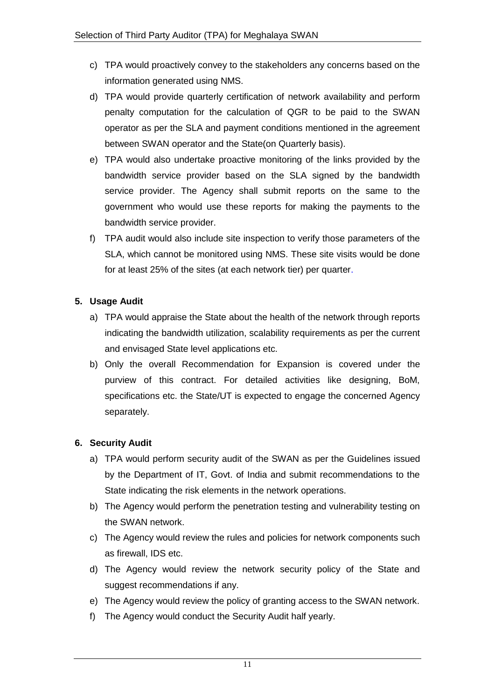- c) TPA would proactively convey to the stakeholders any concerns based on the information generated using NMS.
- d) TPA would provide quarterly certification of network availability and perform penalty computation for the calculation of QGR to be paid to the SWAN operator as per the SLA and payment conditions mentioned in the agreement between SWAN operator and the State(on Quarterly basis).
- e) TPA would also undertake proactive monitoring of the links provided by the bandwidth service provider based on the SLA signed by the bandwidth service provider. The Agency shall submit reports on the same to the government who would use these reports for making the payments to the bandwidth service provider.
- f) TPA audit would also include site inspection to verify those parameters of the SLA, which cannot be monitored using NMS. These site visits would be done for at least 25% of the sites (at each network tier) per quarter.

#### **5. Usage Audit**

- a) TPA would appraise the State about the health of the network through reports indicating the bandwidth utilization, scalability requirements as per the current and envisaged State level applications etc.
- b) Only the overall Recommendation for Expansion is covered under the purview of this contract. For detailed activities like designing, BoM, specifications etc. the State/UT is expected to engage the concerned Agency separately.

#### **6. Security Audit**

- a) TPA would perform security audit of the SWAN as per the Guidelines issued by the Department of IT, Govt. of India and submit recommendations to the State indicating the risk elements in the network operations.
- b) The Agency would perform the penetration testing and vulnerability testing on the SWAN network.
- c) The Agency would review the rules and policies for network components such as firewall, IDS etc.
- d) The Agency would review the network security policy of the State and suggest recommendations if any.
- e) The Agency would review the policy of granting access to the SWAN network.
- f) The Agency would conduct the Security Audit half yearly.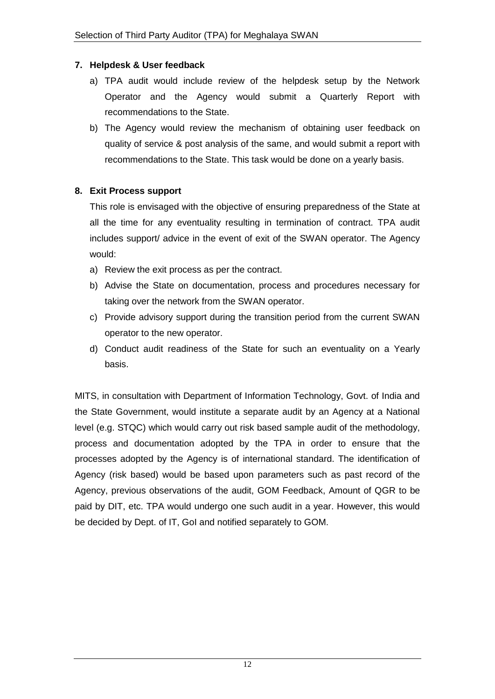#### **7. Helpdesk & User feedback**

- a) TPA audit would include review of the helpdesk setup by the Network Operator and the Agency would submit a Quarterly Report with recommendations to the State.
- b) The Agency would review the mechanism of obtaining user feedback on quality of service & post analysis of the same, and would submit a report with recommendations to the State. This task would be done on a yearly basis.

#### **8. Exit Process support**

This role is envisaged with the objective of ensuring preparedness of the State at all the time for any eventuality resulting in termination of contract. TPA audit includes support/ advice in the event of exit of the SWAN operator. The Agency would:

- a) Review the exit process as per the contract.
- b) Advise the State on documentation, process and procedures necessary for taking over the network from the SWAN operator.
- c) Provide advisory support during the transition period from the current SWAN operator to the new operator.
- d) Conduct audit readiness of the State for such an eventuality on a Yearly basis.

MITS, in consultation with Department of Information Technology, Govt. of India and the State Government, would institute a separate audit by an Agency at a National level (e.g. STQC) which would carry out risk based sample audit of the methodology, process and documentation adopted by the TPA in order to ensure that the processes adopted by the Agency is of international standard. The identification of Agency (risk based) would be based upon parameters such as past record of the Agency, previous observations of the audit, GOM Feedback, Amount of QGR to be paid by DIT, etc. TPA would undergo one such audit in a year. However, this would be decided by Dept. of IT, GoI and notified separately to GOM.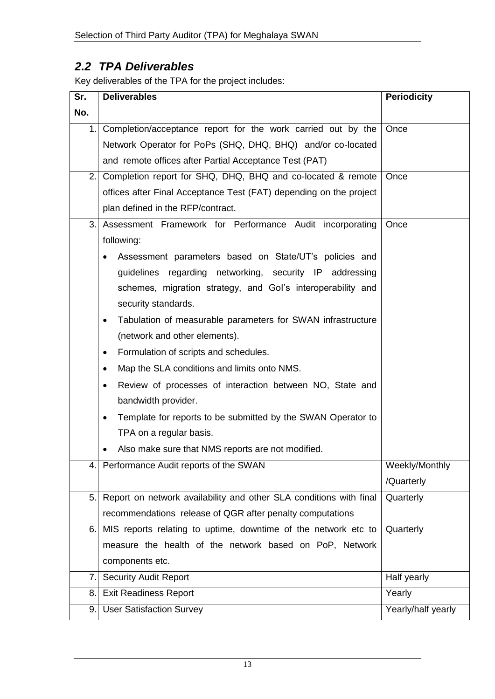# *2.2 TPA Deliverables*

Key deliverables of the TPA for the project includes:

| Sr. | <b>Deliverables</b>                                                                                                                                                                                                   | <b>Periodicity</b> |
|-----|-----------------------------------------------------------------------------------------------------------------------------------------------------------------------------------------------------------------------|--------------------|
| No. |                                                                                                                                                                                                                       |                    |
| 1.  | Completion/acceptance report for the work carried out by the                                                                                                                                                          | Once               |
|     | Network Operator for PoPs (SHQ, DHQ, BHQ) and/or co-located                                                                                                                                                           |                    |
|     | and remote offices after Partial Acceptance Test (PAT)                                                                                                                                                                |                    |
| 2.1 | Completion report for SHQ, DHQ, BHQ and co-located & remote                                                                                                                                                           | Once               |
|     | offices after Final Acceptance Test (FAT) depending on the project                                                                                                                                                    |                    |
|     | plan defined in the RFP/contract.                                                                                                                                                                                     |                    |
| 3.  | Assessment Framework for Performance Audit incorporating                                                                                                                                                              | Once               |
|     | following:<br>Assessment parameters based on State/UT's policies and<br>guidelines regarding networking, security IP addressing<br>schemes, migration strategy, and Gol's interoperability and<br>security standards. |                    |
|     | Tabulation of measurable parameters for SWAN infrastructure<br>٠<br>(network and other elements).                                                                                                                     |                    |
|     | Formulation of scripts and schedules.<br>٠                                                                                                                                                                            |                    |
|     | Map the SLA conditions and limits onto NMS.<br>٠                                                                                                                                                                      |                    |
|     | Review of processes of interaction between NO, State and<br>٠                                                                                                                                                         |                    |
|     | bandwidth provider.                                                                                                                                                                                                   |                    |
|     | Template for reports to be submitted by the SWAN Operator to<br>$\bullet$                                                                                                                                             |                    |
|     | TPA on a regular basis.                                                                                                                                                                                               |                    |
|     | Also make sure that NMS reports are not modified.<br>٠                                                                                                                                                                |                    |
|     | 4. Performance Audit reports of the SWAN                                                                                                                                                                              | Weekly/Monthly     |
|     |                                                                                                                                                                                                                       | /Quarterly         |
| 5.  | Report on network availability and other SLA conditions with final                                                                                                                                                    | Quarterly          |
|     | recommendations release of QGR after penalty computations                                                                                                                                                             |                    |
| 6.  | MIS reports relating to uptime, downtime of the network etc to                                                                                                                                                        | Quarterly          |
|     | measure the health of the network based on PoP, Network                                                                                                                                                               |                    |
|     | components etc.                                                                                                                                                                                                       |                    |
| 7.  | <b>Security Audit Report</b><br>Half yearly                                                                                                                                                                           |                    |
| 8.  | <b>Exit Readiness Report</b>                                                                                                                                                                                          | Yearly             |
| 9.  | <b>User Satisfaction Survey</b>                                                                                                                                                                                       | Yearly/half yearly |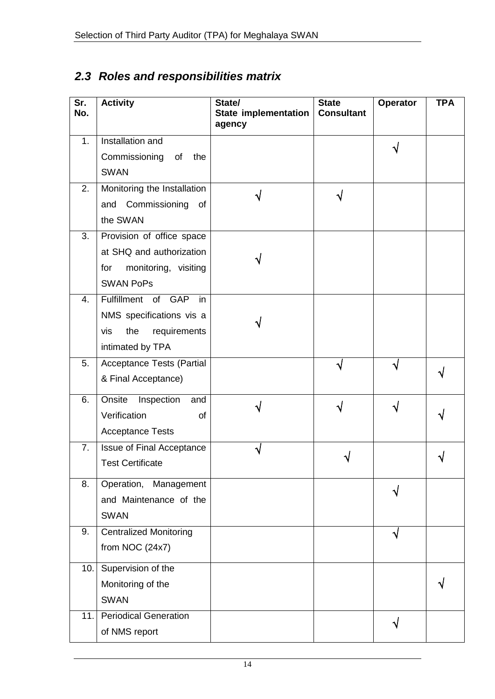# *2.3 Roles and responsibilities matrix*

| Sr.<br>No. | <b>Activity</b>                                                                                          | State/<br><b>State implementation</b><br>agency | <b>State</b><br><b>Consultant</b> | Operator | <b>TPA</b> |
|------------|----------------------------------------------------------------------------------------------------------|-------------------------------------------------|-----------------------------------|----------|------------|
| 1.         | Installation and<br>Commissioning<br>the<br>of<br><b>SWAN</b>                                            |                                                 |                                   |          |            |
| 2.         | Monitoring the Installation<br>Commissioning<br>and<br>of<br>the SWAN                                    |                                                 |                                   |          |            |
| 3.         | Provision of office space<br>at SHQ and authorization<br>monitoring, visiting<br>for<br><b>SWAN PoPs</b> |                                                 |                                   |          |            |
| 4.         | Fulfillment of GAP<br>in<br>NMS specifications vis a<br>the<br>requirements<br>vis<br>intimated by TPA   |                                                 |                                   |          |            |
| 5.         | <b>Acceptance Tests (Partial</b><br>& Final Acceptance)                                                  |                                                 |                                   |          |            |
| 6.         | Onsite<br>Inspection<br>and<br>Verification<br>of<br><b>Acceptance Tests</b>                             |                                                 |                                   |          |            |
| 7.         | <b>Issue of Final Acceptance</b><br><b>Test Certificate</b>                                              |                                                 |                                   |          |            |
| 8.         | Operation, Management<br>and Maintenance of the<br><b>SWAN</b>                                           |                                                 |                                   |          |            |
| 9.         | <b>Centralized Monitoring</b><br>from NOC $(24x7)$                                                       |                                                 |                                   | ٦l       |            |
| 10.        | Supervision of the<br>Monitoring of the<br><b>SWAN</b>                                                   |                                                 |                                   |          |            |
| 11.        | <b>Periodical Generation</b><br>of NMS report                                                            |                                                 |                                   |          |            |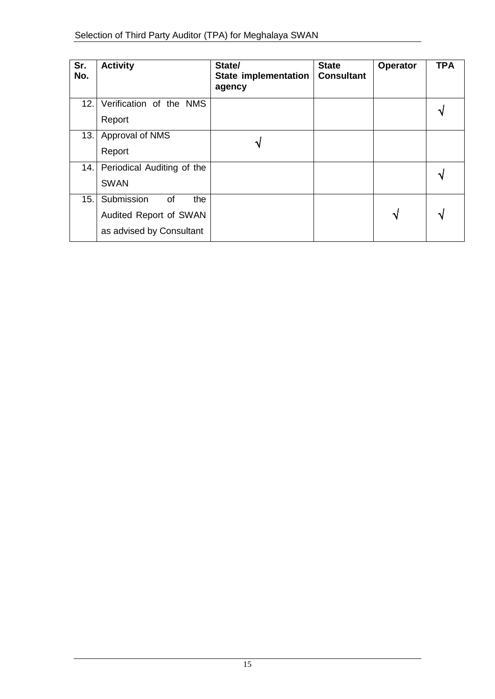| Sr.<br>No. | <b>Activity</b>            | State/<br>State implementation<br>agency | <b>State</b><br><b>Consultant</b> | Operator | <b>TPA</b> |
|------------|----------------------------|------------------------------------------|-----------------------------------|----------|------------|
| 12.        | Verification of the NMS    |                                          |                                   |          |            |
|            | Report                     |                                          |                                   |          |            |
| 13.        | Approval of NMS            |                                          |                                   |          |            |
|            | Report                     |                                          |                                   |          |            |
| 14.        | Periodical Auditing of the |                                          |                                   |          |            |
|            | <b>SWAN</b>                |                                          |                                   |          |            |
| 15.        | Submission<br>0f<br>the    |                                          |                                   |          |            |
|            | Audited Report of SWAN     |                                          |                                   | ٦J       |            |
|            | as advised by Consultant   |                                          |                                   |          |            |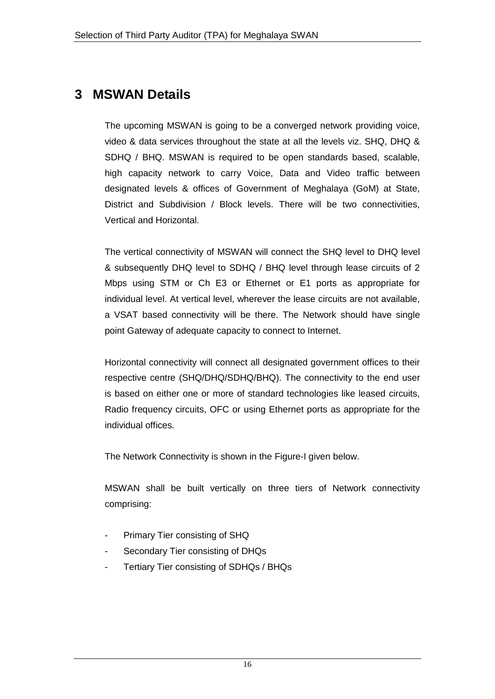# **3 MSWAN Details**

The upcoming MSWAN is going to be a converged network providing voice, video & data services throughout the state at all the levels viz. SHQ, DHQ & SDHQ / BHQ. MSWAN is required to be open standards based, scalable, high capacity network to carry Voice, Data and Video traffic between designated levels & offices of Government of Meghalaya (GoM) at State, District and Subdivision / Block levels. There will be two connectivities, Vertical and Horizontal.

The vertical connectivity of MSWAN will connect the SHQ level to DHQ level & subsequently DHQ level to SDHQ / BHQ level through lease circuits of 2 Mbps using STM or Ch E3 or Ethernet or E1 ports as appropriate for individual level. At vertical level, wherever the lease circuits are not available, a VSAT based connectivity will be there. The Network should have single point Gateway of adequate capacity to connect to Internet.

Horizontal connectivity will connect all designated government offices to their respective centre (SHQ/DHQ/SDHQ/BHQ). The connectivity to the end user is based on either one or more of standard technologies like leased circuits, Radio frequency circuits, OFC or using Ethernet ports as appropriate for the individual offices.

The Network Connectivity is shown in the Figure-I given below.

MSWAN shall be built vertically on three tiers of Network connectivity comprising:

- Primary Tier consisting of SHQ
- Secondary Tier consisting of DHQs
- Tertiary Tier consisting of SDHQs / BHQs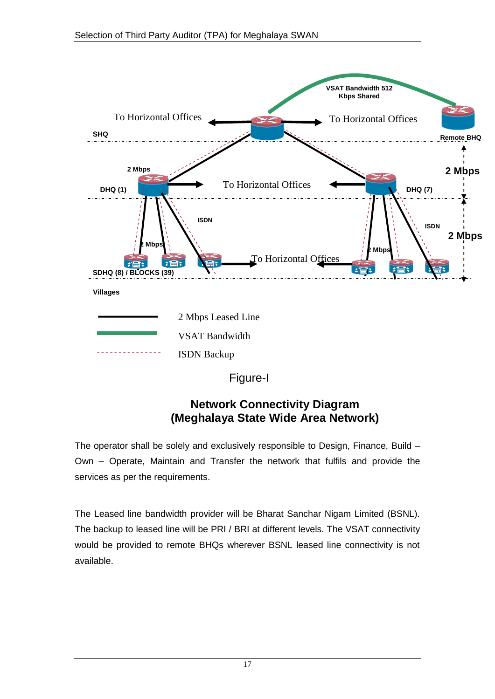

## **Network Connectivity Diagram (Meghalaya State Wide Area Network)**

The operator shall be solely and exclusively responsible to Design, Finance, Build – Own – Operate, Maintain and Transfer the network that fulfils and provide the services as per the requirements.

The Leased line bandwidth provider will be Bharat Sanchar Nigam Limited (BSNL). The backup to leased line will be PRI / BRI at different levels. The VSAT connectivity would be provided to remote BHQs wherever BSNL leased line connectivity is not available.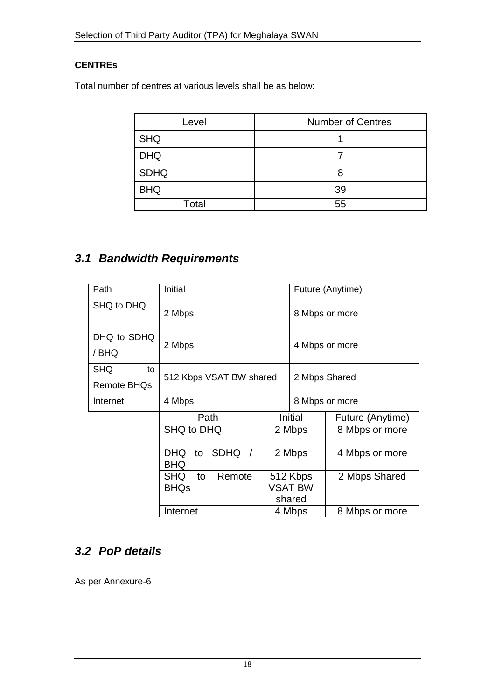#### **CENTREs**

Total number of centres at various levels shall be as below:

| Level       | <b>Number of Centres</b> |
|-------------|--------------------------|
| <b>SHQ</b>  |                          |
| <b>DHQ</b>  |                          |
| <b>SDHQ</b> | 8                        |
| <b>BHQ</b>  | 39                       |
| Total       | 55                       |

# *3.1 Bandwidth Requirements*

| Path                 | Initial                                  |        |                | Future (Anytime) |
|----------------------|------------------------------------------|--------|----------------|------------------|
| SHQ to DHQ<br>2 Mbps |                                          |        |                | 8 Mbps or more   |
| DHQ to SDHQ          |                                          |        |                |                  |
| / BHQ                | 2 Mbps                                   |        | 4 Mbps or more |                  |
| <b>SHQ</b><br>to     |                                          |        |                |                  |
| <b>Remote BHQs</b>   | 512 Kbps VSAT BW shared                  |        | 2 Mbps Shared  |                  |
| Internet             | 4 Mbps                                   |        | 8 Mbps or more |                  |
|                      | Path                                     |        | Initial        | Future (Anytime) |
|                      | SHQ to DHQ                               |        | 2 Mbps         | 8 Mbps or more   |
|                      | SDHQ /<br><b>DHQ</b><br>to<br><b>BHQ</b> |        | 2 Mbps         | 4 Mbps or more   |
|                      | <b>SHQ</b><br>Remote<br>to               |        | 512 Kbps       | 2 Mbps Shared    |
| <b>BHQs</b>          |                                          |        | <b>VSAT BW</b> |                  |
|                      |                                          | shared |                |                  |
|                      | Internet                                 | 4 Mbps |                | 8 Mbps or more   |

## *3.2 PoP details*

As per Annexure-6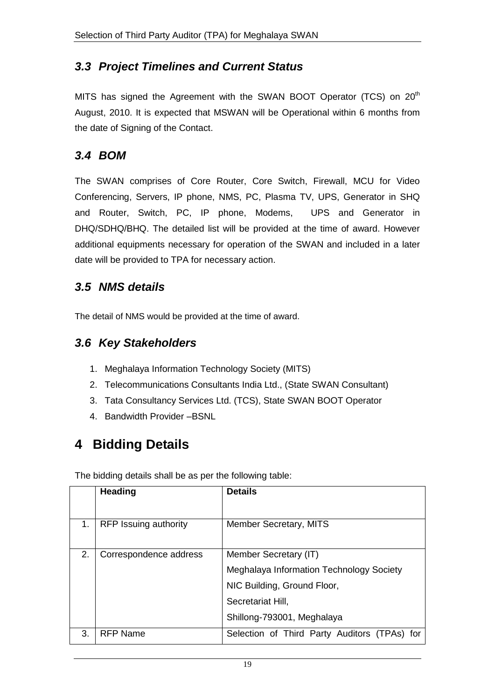## *3.3 Project Timelines and Current Status*

MITS has signed the Agreement with the SWAN BOOT Operator (TCS) on 20<sup>th</sup> August, 2010. It is expected that MSWAN will be Operational within 6 months from the date of Signing of the Contact.

#### *3.4 BOM*

The SWAN comprises of Core Router, Core Switch, Firewall, MCU for Video Conferencing, Servers, IP phone, NMS, PC, Plasma TV, UPS, Generator in SHQ and Router, Switch, PC, IP phone, Modems, UPS and Generator in DHQ/SDHQ/BHQ. The detailed list will be provided at the time of award. However additional equipments necessary for operation of the SWAN and included in a later date will be provided to TPA for necessary action.

#### *3.5 NMS details*

The detail of NMS would be provided at the time of award.

## *3.6 Key Stakeholders*

- 1. Meghalaya Information Technology Society (MITS)
- 2. Telecommunications Consultants India Ltd., (State SWAN Consultant)
- 3. Tata Consultancy Services Ltd. (TCS), State SWAN BOOT Operator
- 4. Bandwidth Provider –BSNL

# **4 Bidding Details**

The bidding details shall be as per the following table:

|    | <b>Heading</b>               | <b>Details</b>                               |
|----|------------------------------|----------------------------------------------|
|    |                              |                                              |
| 1. | <b>RFP Issuing authority</b> | <b>Member Secretary, MITS</b>                |
|    |                              |                                              |
| 2. | Correspondence address       | Member Secretary (IT)                        |
|    |                              | Meghalaya Information Technology Society     |
|    |                              | NIC Building, Ground Floor,                  |
|    |                              | Secretariat Hill,                            |
|    |                              | Shillong-793001, Meghalaya                   |
| 3. | <b>RFP Name</b>              | Selection of Third Party Auditors (TPAs) for |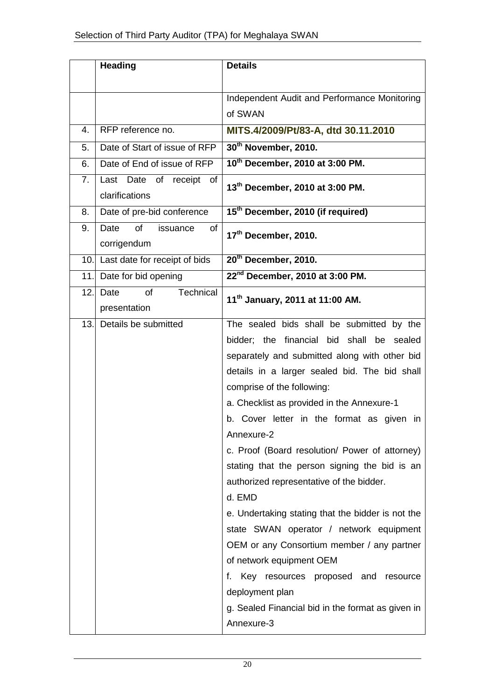|      | <b>Heading</b>                               | <b>Details</b>                                    |
|------|----------------------------------------------|---------------------------------------------------|
|      |                                              |                                                   |
|      |                                              | Independent Audit and Performance Monitoring      |
|      |                                              | of SWAN                                           |
| 4.   | RFP reference no.                            | MITS.4/2009/Pt/83-A, dtd 30.11.2010               |
| 5.   | Date of Start of issue of RFP                | 30 <sup>th</sup> November, 2010.                  |
| 6.   | Date of End of issue of RFP                  | 10 <sup>th</sup> December, 2010 at 3:00 PM.       |
| 7.   | Last Date of receipt<br>of<br>clarifications | 13 <sup>th</sup> December, 2010 at 3:00 PM.       |
| 8.   | Date of pre-bid conference                   | 15 <sup>th</sup> December, 2010 (if required)     |
| 9.   | of<br>Date<br>issuance<br>of<br>corrigendum  | 17 <sup>th</sup> December, 2010.                  |
| 10.1 | Last date for receipt of bids                | 20 <sup>th</sup> December, 2010.                  |
| 11.  | Date for bid opening                         | 22 <sup>nd</sup> December, 2010 at 3:00 PM.       |
| 12.  | Technical<br>of<br>Date                      | 11 <sup>th</sup> January, 2011 at 11:00 AM.       |
|      | presentation                                 |                                                   |
| 13.  | Details be submitted                         | The sealed bids shall be submitted by the         |
|      |                                              | bidder; the financial bid shall be sealed         |
|      |                                              | separately and submitted along with other bid     |
|      |                                              | details in a larger sealed bid. The bid shall     |
|      |                                              | comprise of the following:                        |
|      |                                              | a. Checklist as provided in the Annexure-1        |
|      |                                              | b. Cover letter in the format as given in         |
|      |                                              | Annexure-2                                        |
|      |                                              | c. Proof (Board resolution/ Power of attorney)    |
|      |                                              | stating that the person signing the bid is an     |
|      |                                              | authorized representative of the bidder.          |
|      |                                              | d. EMD                                            |
|      |                                              | e. Undertaking stating that the bidder is not the |
|      |                                              | state SWAN operator / network equipment           |
|      |                                              | OEM or any Consortium member / any partner        |
|      |                                              | of network equipment OEM                          |
|      |                                              | f. Key resources proposed and<br>resource         |
|      |                                              | deployment plan                                   |
|      |                                              | g. Sealed Financial bid in the format as given in |
|      |                                              | Annexure-3                                        |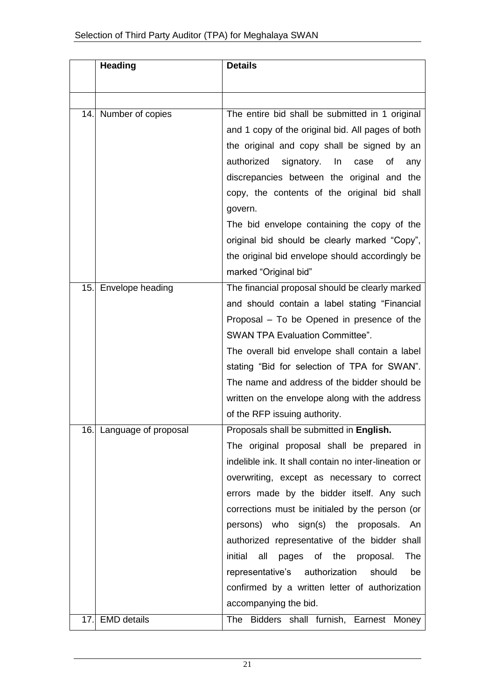|      | <b>Heading</b>           | <b>Details</b>                                                                                                                                                                                                                                                                                                                                                                                                                                                                                                                                       |
|------|--------------------------|------------------------------------------------------------------------------------------------------------------------------------------------------------------------------------------------------------------------------------------------------------------------------------------------------------------------------------------------------------------------------------------------------------------------------------------------------------------------------------------------------------------------------------------------------|
|      |                          |                                                                                                                                                                                                                                                                                                                                                                                                                                                                                                                                                      |
| 14.1 | Number of copies         | The entire bid shall be submitted in 1 original<br>and 1 copy of the original bid. All pages of both<br>the original and copy shall be signed by an<br>authorized<br>signatory.<br>In<br>case<br>οf<br>any<br>discrepancies between the original and the<br>copy, the contents of the original bid shall<br>govern.<br>The bid envelope containing the copy of the<br>original bid should be clearly marked "Copy",                                                                                                                                  |
|      |                          | the original bid envelope should accordingly be<br>marked "Original bid"                                                                                                                                                                                                                                                                                                                                                                                                                                                                             |
| 15.  | Envelope heading         | The financial proposal should be clearly marked<br>and should contain a label stating "Financial<br>Proposal – To be Opened in presence of the<br>SWAN TPA Evaluation Committee".<br>The overall bid envelope shall contain a label<br>stating "Bid for selection of TPA for SWAN".<br>The name and address of the bidder should be<br>written on the envelope along with the address<br>of the RFP issuing authority.                                                                                                                               |
|      | 16. Language of proposal | Proposals shall be submitted in English.<br>The original proposal shall be prepared in<br>indelible ink. It shall contain no inter-lineation or<br>overwriting, except as necessary to correct<br>errors made by the bidder itself. Any such<br>corrections must be initialed by the person (or<br>persons) who sign(s) the proposals. An<br>authorized representative of the bidder shall<br>initial<br>all<br>of the proposal.<br>The<br>pages<br>representative's authorization<br>should<br>be<br>confirmed by a written letter of authorization |
| 17.  | <b>EMD</b> details       | accompanying the bid.<br>The Bidders shall furnish, Earnest Money                                                                                                                                                                                                                                                                                                                                                                                                                                                                                    |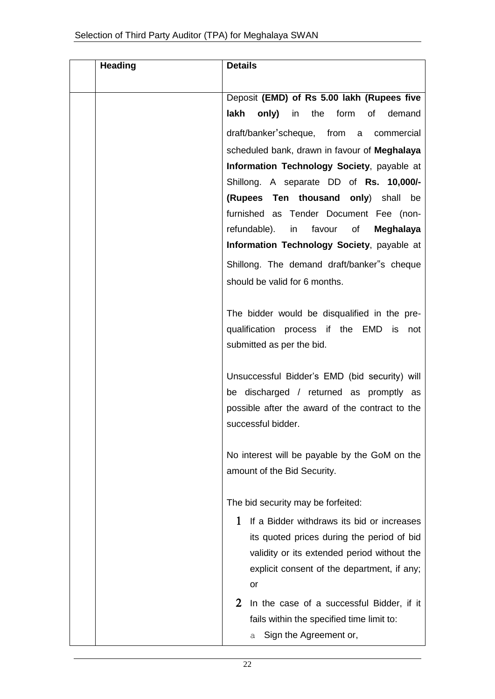| <b>Heading</b> | <b>Details</b>                                                                            |
|----------------|-------------------------------------------------------------------------------------------|
|                |                                                                                           |
|                | Deposit (EMD) of Rs 5.00 lakh (Rupees five                                                |
|                | lakh only)<br>in<br>the form of<br>demand                                                 |
|                | draft/banker'scheque, from a commercial                                                   |
|                | scheduled bank, drawn in favour of Meghalaya                                              |
|                | Information Technology Society, payable at                                                |
|                | Shillong. A separate DD of Rs. 10,000/-                                                   |
|                | (Rupees Ten thousand only) shall be                                                       |
|                | furnished as Tender Document Fee (non-                                                    |
|                | refundable).<br>in<br>favour<br>of<br>Meghalaya                                           |
|                | Information Technology Society, payable at                                                |
|                | Shillong. The demand draft/banker"s cheque                                                |
|                | should be valid for 6 months.                                                             |
|                |                                                                                           |
|                | The bidder would be disqualified in the pre-                                              |
|                | qualification process if the EMD<br>is.<br>not                                            |
|                | submitted as per the bid.                                                                 |
|                |                                                                                           |
|                | Unsuccessful Bidder's EMD (bid security) will                                             |
|                | be discharged / returned as promptly as                                                   |
|                | possible after the award of the contract to the                                           |
|                | successful bidder.                                                                        |
|                | No interest will be payable by the GoM on the                                             |
|                | amount of the Bid Security.                                                               |
|                |                                                                                           |
|                | The bid security may be forfeited:                                                        |
|                | 1                                                                                         |
|                | If a Bidder withdraws its bid or increases                                                |
|                | its quoted prices during the period of bid<br>validity or its extended period without the |
|                | explicit consent of the department, if any;                                               |
|                | or                                                                                        |
|                |                                                                                           |
|                | 2<br>In the case of a successful Bidder, if it                                            |
|                | fails within the specified time limit to:                                                 |
|                | Sign the Agreement or,<br>а                                                               |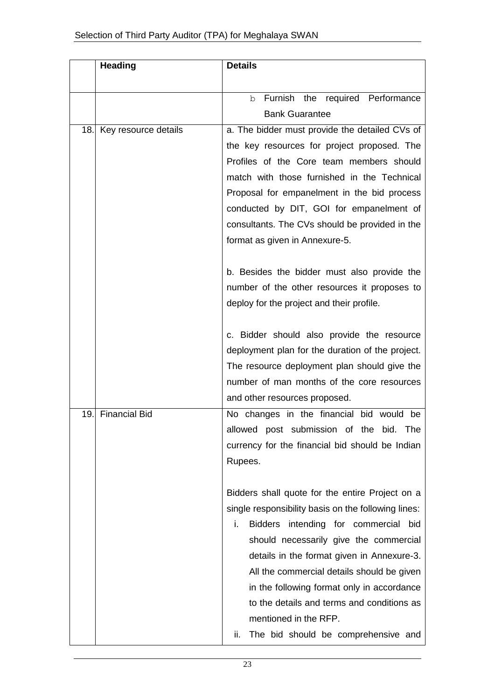|     | <b>Heading</b>       | <b>Details</b>                                                                             |
|-----|----------------------|--------------------------------------------------------------------------------------------|
|     |                      |                                                                                            |
|     |                      | Furnish the required Performance<br>b                                                      |
|     |                      | <b>Bank Guarantee</b>                                                                      |
| 18. | Key resource details | a. The bidder must provide the detailed CVs of                                             |
|     |                      | the key resources for project proposed. The                                                |
|     |                      | Profiles of the Core team members should                                                   |
|     |                      | match with those furnished in the Technical                                                |
|     |                      | Proposal for empanelment in the bid process                                                |
|     |                      | conducted by DIT, GOI for empanelment of<br>consultants. The CVs should be provided in the |
|     |                      | format as given in Annexure-5.                                                             |
|     |                      |                                                                                            |
|     |                      | b. Besides the bidder must also provide the                                                |
|     |                      | number of the other resources it proposes to                                               |
|     |                      | deploy for the project and their profile.                                                  |
|     |                      |                                                                                            |
|     |                      | c. Bidder should also provide the resource                                                 |
|     |                      | deployment plan for the duration of the project.                                           |
|     |                      | The resource deployment plan should give the                                               |
|     |                      | number of man months of the core resources                                                 |
|     |                      | and other resources proposed.                                                              |
| 19. | <b>Financial Bid</b> | No changes in the financial bid would be                                                   |
|     |                      | allowed post submission of the bid. The                                                    |
|     |                      | currency for the financial bid should be Indian                                            |
|     |                      | Rupees.                                                                                    |
|     |                      | Bidders shall quote for the entire Project on a                                            |
|     |                      | single responsibility basis on the following lines:                                        |
|     |                      | i.<br>Bidders intending for commercial bid                                                 |
|     |                      | should necessarily give the commercial                                                     |
|     |                      | details in the format given in Annexure-3.                                                 |
|     |                      | All the commercial details should be given                                                 |
|     |                      | in the following format only in accordance                                                 |
|     |                      | to the details and terms and conditions as                                                 |
|     |                      | mentioned in the RFP.                                                                      |
|     |                      | The bid should be comprehensive and<br>ii.                                                 |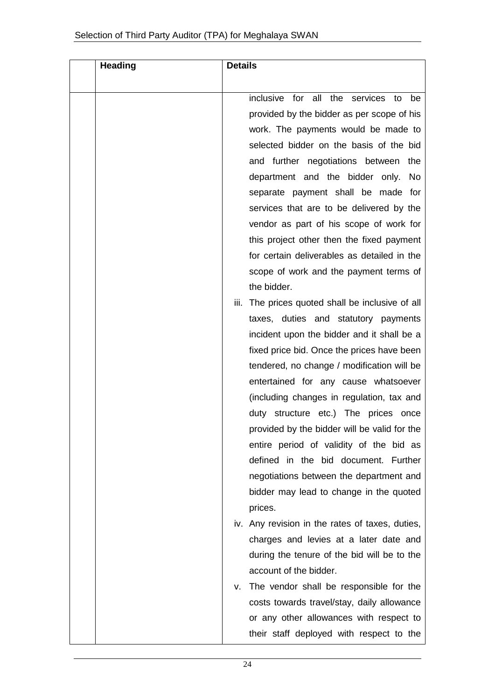| <b>Heading</b> | <b>Details</b>                                   |
|----------------|--------------------------------------------------|
|                |                                                  |
|                | inclusive for all the services to<br>be          |
|                | provided by the bidder as per scope of his       |
|                | work. The payments would be made to              |
|                | selected bidder on the basis of the bid          |
|                | and further negotiations between the             |
|                | department and the bidder only. No               |
|                | separate payment shall be made for               |
|                | services that are to be delivered by the         |
|                | vendor as part of his scope of work for          |
|                | this project other then the fixed payment        |
|                | for certain deliverables as detailed in the      |
|                | scope of work and the payment terms of           |
|                | the bidder.                                      |
|                | iii. The prices quoted shall be inclusive of all |
|                | taxes, duties and statutory payments             |
|                | incident upon the bidder and it shall be a       |
|                | fixed price bid. Once the prices have been       |
|                | tendered, no change / modification will be       |
|                | entertained for any cause whatsoever             |
|                | (including changes in regulation, tax and        |
|                | duty structure etc.) The prices once             |
|                | provided by the bidder will be valid for the     |
|                | entire period of validity of the bid as          |
|                | defined in the bid document. Further             |
|                | negotiations between the department and          |
|                | bidder may lead to change in the quoted          |
|                | prices.                                          |
|                | iv. Any revision in the rates of taxes, duties,  |
|                | charges and levies at a later date and           |
|                | during the tenure of the bid will be to the      |
|                | account of the bidder.                           |
|                | The vendor shall be responsible for the<br>v.    |
|                | costs towards travel/stay, daily allowance       |
|                | or any other allowances with respect to          |
|                | their staff deployed with respect to the         |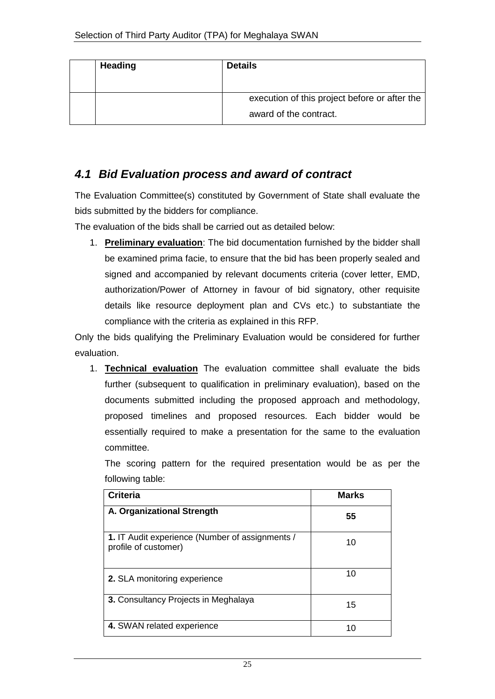| <b>Heading</b> | <b>Details</b>                                                          |
|----------------|-------------------------------------------------------------------------|
|                | execution of this project before or after the<br>award of the contract. |

#### *4.1 Bid Evaluation process and award of contract*

The Evaluation Committee(s) constituted by Government of State shall evaluate the bids submitted by the bidders for compliance.

The evaluation of the bids shall be carried out as detailed below:

1. **Preliminary evaluation**: The bid documentation furnished by the bidder shall be examined prima facie, to ensure that the bid has been properly sealed and signed and accompanied by relevant documents criteria (cover letter, EMD, authorization/Power of Attorney in favour of bid signatory, other requisite details like resource deployment plan and CVs etc.) to substantiate the compliance with the criteria as explained in this RFP.

Only the bids qualifying the Preliminary Evaluation would be considered for further evaluation.

1. **Technical evaluation** The evaluation committee shall evaluate the bids further (subsequent to qualification in preliminary evaluation), based on the documents submitted including the proposed approach and methodology, proposed timelines and proposed resources. Each bidder would be essentially required to make a presentation for the same to the evaluation committee.

The scoring pattern for the required presentation would be as per the following table:

| <b>Criteria</b>                                                         | <b>Marks</b> |
|-------------------------------------------------------------------------|--------------|
| A. Organizational Strength                                              | 55           |
| 1. IT Audit experience (Number of assignments /<br>profile of customer) | 10           |
| 2. SLA monitoring experience                                            | 10           |
| 3. Consultancy Projects in Meghalaya                                    | 15           |
| 4. SWAN related experience                                              | 10           |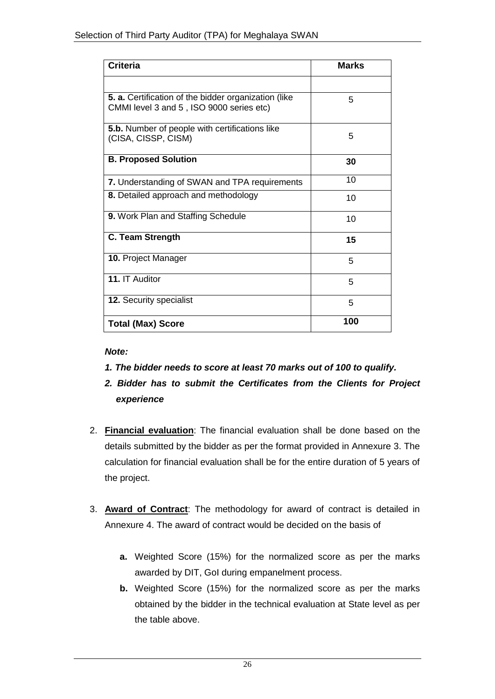| <b>Criteria</b>                                                                                         | <b>Marks</b> |
|---------------------------------------------------------------------------------------------------------|--------------|
|                                                                                                         |              |
| <b>5. a.</b> Certification of the bidder organization (like<br>CMMI level 3 and 5, ISO 9000 series etc) | 5            |
| <b>5.b.</b> Number of people with certifications like<br>(CISA, CISSP, CISM)                            | 5            |
| <b>B. Proposed Solution</b>                                                                             | 30           |
| 7. Understanding of SWAN and TPA requirements                                                           | 10           |
| 8. Detailed approach and methodology                                                                    | 10           |
| 9. Work Plan and Staffing Schedule                                                                      | 10           |
| <b>C. Team Strength</b>                                                                                 | 15           |
| 10. Project Manager                                                                                     | 5            |
| 11. IT Auditor                                                                                          | 5            |
| <b>12. Security specialist</b>                                                                          | 5            |
| <b>Total (Max) Score</b>                                                                                | 100          |

#### *Note:*

- *1. The bidder needs to score at least 70 marks out of 100 to qualify.*
- *2. Bidder has to submit the Certificates from the Clients for Project experience*
- 2. **Financial evaluation**: The financial evaluation shall be done based on the details submitted by the bidder as per the format provided in Annexure 3. The calculation for financial evaluation shall be for the entire duration of 5 years of the project.
- 3. **Award of Contract**: The methodology for award of contract is detailed in Annexure 4. The award of contract would be decided on the basis of
	- **a.** Weighted Score (15%) for the normalized score as per the marks awarded by DIT, GoI during empanelment process.
	- **b.** Weighted Score (15%) for the normalized score as per the marks obtained by the bidder in the technical evaluation at State level as per the table above.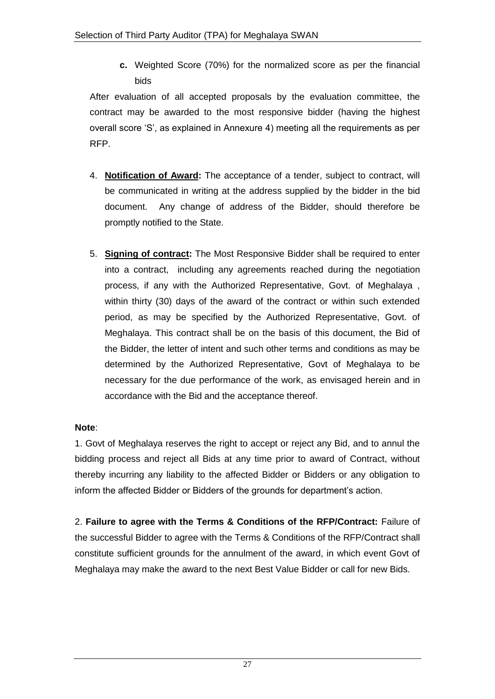**c.** Weighted Score (70%) for the normalized score as per the financial bids

After evaluation of all accepted proposals by the evaluation committee, the contract may be awarded to the most responsive bidder (having the highest overall score "S", as explained in Annexure 4) meeting all the requirements as per RFP.

- 4. **Notification of Award:** The acceptance of a tender, subject to contract, will be communicated in writing at the address supplied by the bidder in the bid document. Any change of address of the Bidder, should therefore be promptly notified to the State.
- 5. **Signing of contract:** The Most Responsive Bidder shall be required to enter into a contract, including any agreements reached during the negotiation process, if any with the Authorized Representative, Govt. of Meghalaya , within thirty (30) days of the award of the contract or within such extended period, as may be specified by the Authorized Representative, Govt. of Meghalaya. This contract shall be on the basis of this document, the Bid of the Bidder, the letter of intent and such other terms and conditions as may be determined by the Authorized Representative, Govt of Meghalaya to be necessary for the due performance of the work, as envisaged herein and in accordance with the Bid and the acceptance thereof.

#### **Note**:

1. Govt of Meghalaya reserves the right to accept or reject any Bid, and to annul the bidding process and reject all Bids at any time prior to award of Contract, without thereby incurring any liability to the affected Bidder or Bidders or any obligation to inform the affected Bidder or Bidders of the grounds for department's action.

2. **Failure to agree with the Terms & Conditions of the RFP/Contract:** Failure of the successful Bidder to agree with the Terms & Conditions of the RFP/Contract shall constitute sufficient grounds for the annulment of the award, in which event Govt of Meghalaya may make the award to the next Best Value Bidder or call for new Bids.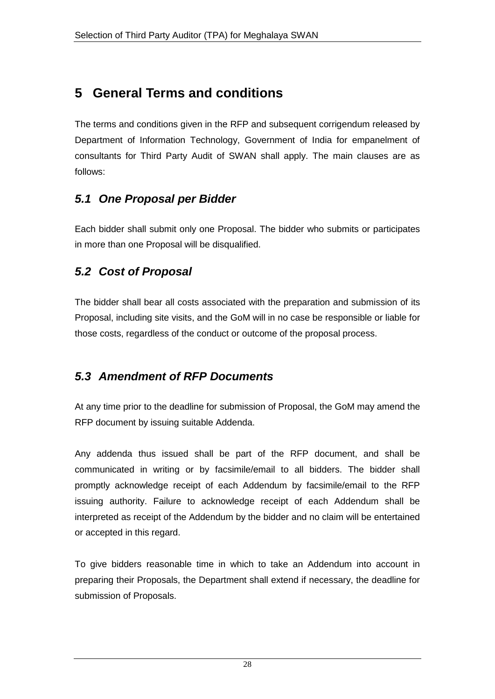# **5 General Terms and conditions**

The terms and conditions given in the RFP and subsequent corrigendum released by Department of Information Technology, Government of India for empanelment of consultants for Third Party Audit of SWAN shall apply. The main clauses are as follows:

# *5.1 One Proposal per Bidder*

Each bidder shall submit only one Proposal. The bidder who submits or participates in more than one Proposal will be disqualified.

## *5.2 Cost of Proposal*

The bidder shall bear all costs associated with the preparation and submission of its Proposal, including site visits, and the GoM will in no case be responsible or liable for those costs, regardless of the conduct or outcome of the proposal process.

## *5.3 Amendment of RFP Documents*

At any time prior to the deadline for submission of Proposal, the GoM may amend the RFP document by issuing suitable Addenda.

Any addenda thus issued shall be part of the RFP document, and shall be communicated in writing or by facsimile/email to all bidders. The bidder shall promptly acknowledge receipt of each Addendum by facsimile/email to the RFP issuing authority. Failure to acknowledge receipt of each Addendum shall be interpreted as receipt of the Addendum by the bidder and no claim will be entertained or accepted in this regard.

To give bidders reasonable time in which to take an Addendum into account in preparing their Proposals, the Department shall extend if necessary, the deadline for submission of Proposals.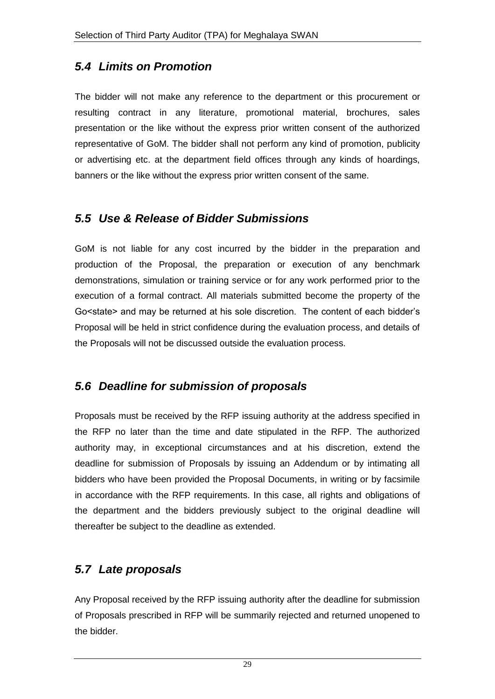## *5.4 Limits on Promotion*

The bidder will not make any reference to the department or this procurement or resulting contract in any literature, promotional material, brochures, sales presentation or the like without the express prior written consent of the authorized representative of GoM. The bidder shall not perform any kind of promotion, publicity or advertising etc. at the department field offices through any kinds of hoardings, banners or the like without the express prior written consent of the same.

#### *5.5 Use & Release of Bidder Submissions*

GoM is not liable for any cost incurred by the bidder in the preparation and production of the Proposal, the preparation or execution of any benchmark demonstrations, simulation or training service or for any work performed prior to the execution of a formal contract. All materials submitted become the property of the Go<state> and may be returned at his sole discretion. The content of each bidder"s Proposal will be held in strict confidence during the evaluation process, and details of the Proposals will not be discussed outside the evaluation process.

## *5.6 Deadline for submission of proposals*

Proposals must be received by the RFP issuing authority at the address specified in the RFP no later than the time and date stipulated in the RFP. The authorized authority may, in exceptional circumstances and at his discretion, extend the deadline for submission of Proposals by issuing an Addendum or by intimating all bidders who have been provided the Proposal Documents, in writing or by facsimile in accordance with the RFP requirements. In this case, all rights and obligations of the department and the bidders previously subject to the original deadline will thereafter be subject to the deadline as extended.

## *5.7 Late proposals*

Any Proposal received by the RFP issuing authority after the deadline for submission of Proposals prescribed in RFP will be summarily rejected and returned unopened to the bidder.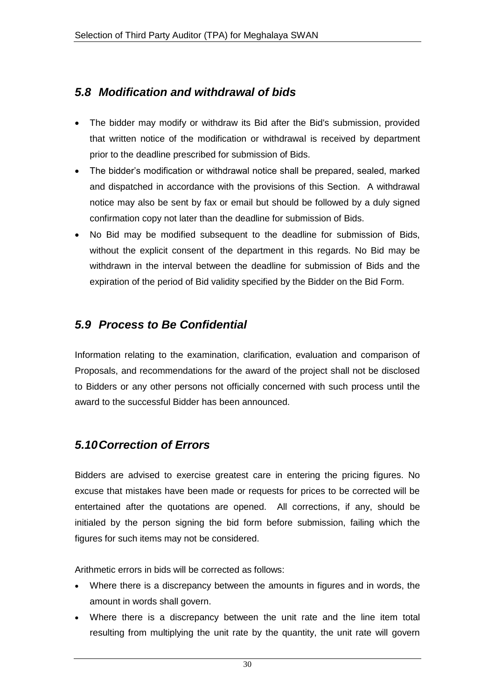# *5.8 Modification and withdrawal of bids*

- The bidder may modify or withdraw its Bid after the Bid's submission, provided that written notice of the modification or withdrawal is received by department prior to the deadline prescribed for submission of Bids.
- The bidder"s modification or withdrawal notice shall be prepared, sealed, marked and dispatched in accordance with the provisions of this Section. A withdrawal notice may also be sent by fax or email but should be followed by a duly signed confirmation copy not later than the deadline for submission of Bids.
- No Bid may be modified subsequent to the deadline for submission of Bids, without the explicit consent of the department in this regards. No Bid may be withdrawn in the interval between the deadline for submission of Bids and the expiration of the period of Bid validity specified by the Bidder on the Bid Form.

# *5.9 Process to Be Confidential*

Information relating to the examination, clarification, evaluation and comparison of Proposals, and recommendations for the award of the project shall not be disclosed to Bidders or any other persons not officially concerned with such process until the award to the successful Bidder has been announced.

## *5.10Correction of Errors*

Bidders are advised to exercise greatest care in entering the pricing figures. No excuse that mistakes have been made or requests for prices to be corrected will be entertained after the quotations are opened. All corrections, if any, should be initialed by the person signing the bid form before submission, failing which the figures for such items may not be considered.

Arithmetic errors in bids will be corrected as follows:

- Where there is a discrepancy between the amounts in figures and in words, the amount in words shall govern.
- Where there is a discrepancy between the unit rate and the line item total resulting from multiplying the unit rate by the quantity, the unit rate will govern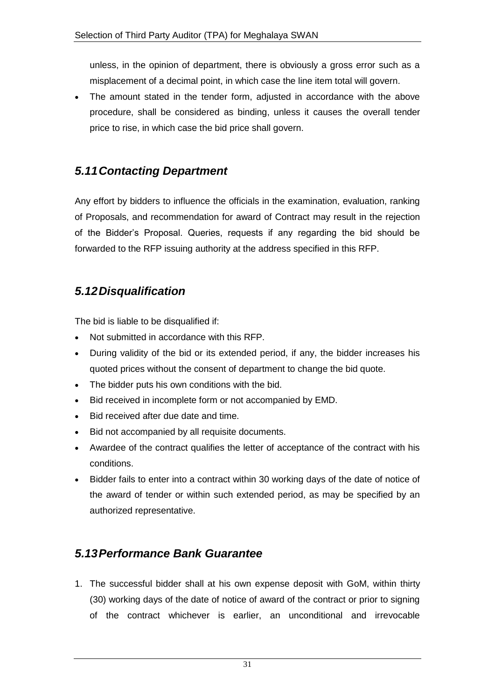unless, in the opinion of department, there is obviously a gross error such as a misplacement of a decimal point, in which case the line item total will govern.

• The amount stated in the tender form, adjusted in accordance with the above procedure, shall be considered as binding, unless it causes the overall tender price to rise, in which case the bid price shall govern.

### *5.11Contacting Department*

Any effort by bidders to influence the officials in the examination, evaluation, ranking of Proposals, and recommendation for award of Contract may result in the rejection of the Bidder"s Proposal. Queries, requests if any regarding the bid should be forwarded to the RFP issuing authority at the address specified in this RFP.

## *5.12Disqualification*

The bid is liable to be disqualified if:

- Not submitted in accordance with this RFP.
- During validity of the bid or its extended period, if any, the bidder increases his quoted prices without the consent of department to change the bid quote.
- The bidder puts his own conditions with the bid.
- Bid received in incomplete form or not accompanied by EMD.
- Bid received after due date and time.
- Bid not accompanied by all requisite documents.
- Awardee of the contract qualifies the letter of acceptance of the contract with his conditions.
- Bidder fails to enter into a contract within 30 working days of the date of notice of the award of tender or within such extended period, as may be specified by an authorized representative.

## *5.13Performance Bank Guarantee*

1. The successful bidder shall at his own expense deposit with GoM, within thirty (30) working days of the date of notice of award of the contract or prior to signing of the contract whichever is earlier, an unconditional and irrevocable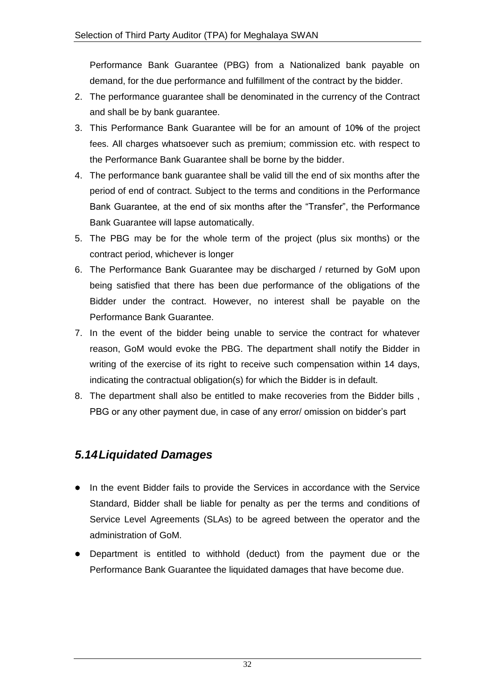Performance Bank Guarantee (PBG) from a Nationalized bank payable on demand, for the due performance and fulfillment of the contract by the bidder.

- 2. The performance guarantee shall be denominated in the currency of the Contract and shall be by bank guarantee.
- 3. This Performance Bank Guarantee will be for an amount of 10**%** of the project fees. All charges whatsoever such as premium; commission etc. with respect to the Performance Bank Guarantee shall be borne by the bidder.
- 4. The performance bank guarantee shall be valid till the end of six months after the period of end of contract. Subject to the terms and conditions in the Performance Bank Guarantee, at the end of six months after the "Transfer", the Performance Bank Guarantee will lapse automatically.
- 5. The PBG may be for the whole term of the project (plus six months) or the contract period, whichever is longer
- 6. The Performance Bank Guarantee may be discharged / returned by GoM upon being satisfied that there has been due performance of the obligations of the Bidder under the contract. However, no interest shall be payable on the Performance Bank Guarantee.
- 7. In the event of the bidder being unable to service the contract for whatever reason, GoM would evoke the PBG. The department shall notify the Bidder in writing of the exercise of its right to receive such compensation within 14 days, indicating the contractual obligation(s) for which the Bidder is in default.
- 8. The department shall also be entitled to make recoveries from the Bidder bills , PBG or any other payment due, in case of any error/ omission on bidder"s part

## *5.14Liquidated Damages*

- In the event Bidder fails to provide the Services in accordance with the Service Standard, Bidder shall be liable for penalty as per the terms and conditions of Service Level Agreements (SLAs) to be agreed between the operator and the administration of GoM.
- Department is entitled to withhold (deduct) from the payment due or the Performance Bank Guarantee the liquidated damages that have become due.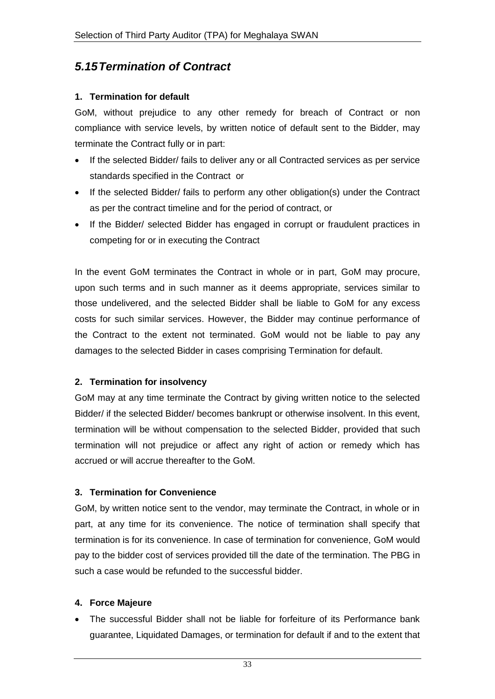# *5.15Termination of Contract*

#### **1. Termination for default**

GoM, without prejudice to any other remedy for breach of Contract or non compliance with service levels, by written notice of default sent to the Bidder, may terminate the Contract fully or in part:

- If the selected Bidder/ fails to deliver any or all Contracted services as per service standards specified in the Contract or
- If the selected Bidder/ fails to perform any other obligation(s) under the Contract as per the contract timeline and for the period of contract, or
- If the Bidder/ selected Bidder has engaged in corrupt or fraudulent practices in competing for or in executing the Contract

In the event GoM terminates the Contract in whole or in part, GoM may procure, upon such terms and in such manner as it deems appropriate, services similar to those undelivered, and the selected Bidder shall be liable to GoM for any excess costs for such similar services. However, the Bidder may continue performance of the Contract to the extent not terminated. GoM would not be liable to pay any damages to the selected Bidder in cases comprising Termination for default.

#### **2. Termination for insolvency**

GoM may at any time terminate the Contract by giving written notice to the selected Bidder/ if the selected Bidder/ becomes bankrupt or otherwise insolvent. In this event, termination will be without compensation to the selected Bidder, provided that such termination will not prejudice or affect any right of action or remedy which has accrued or will accrue thereafter to the GoM.

#### **3. Termination for Convenience**

GoM, by written notice sent to the vendor, may terminate the Contract, in whole or in part, at any time for its convenience. The notice of termination shall specify that termination is for its convenience. In case of termination for convenience, GoM would pay to the bidder cost of services provided till the date of the termination. The PBG in such a case would be refunded to the successful bidder.

#### **4. Force Majeure**

 The successful Bidder shall not be liable for forfeiture of its Performance bank guarantee, Liquidated Damages, or termination for default if and to the extent that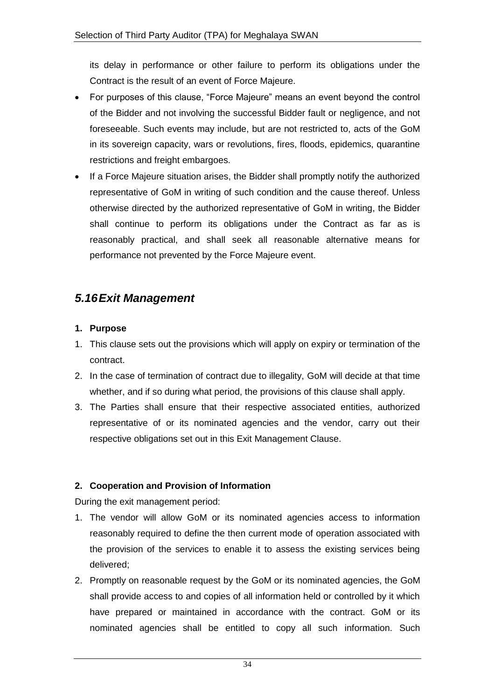its delay in performance or other failure to perform its obligations under the Contract is the result of an event of Force Majeure.

- For purposes of this clause, "Force Majeure" means an event beyond the control of the Bidder and not involving the successful Bidder fault or negligence, and not foreseeable. Such events may include, but are not restricted to, acts of the GoM in its sovereign capacity, wars or revolutions, fires, floods, epidemics, quarantine restrictions and freight embargoes.
- If a Force Majeure situation arises, the Bidder shall promptly notify the authorized representative of GoM in writing of such condition and the cause thereof. Unless otherwise directed by the authorized representative of GoM in writing, the Bidder shall continue to perform its obligations under the Contract as far as is reasonably practical, and shall seek all reasonable alternative means for performance not prevented by the Force Majeure event.

## *5.16Exit Management*

#### **1. Purpose**

- 1. This clause sets out the provisions which will apply on expiry or termination of the contract.
- 2. In the case of termination of contract due to illegality, GoM will decide at that time whether, and if so during what period, the provisions of this clause shall apply.
- 3. The Parties shall ensure that their respective associated entities, authorized representative of or its nominated agencies and the vendor, carry out their respective obligations set out in this Exit Management Clause.

#### **2. Cooperation and Provision of Information**

During the exit management period:

- 1. The vendor will allow GoM or its nominated agencies access to information reasonably required to define the then current mode of operation associated with the provision of the services to enable it to assess the existing services being delivered;
- 2. Promptly on reasonable request by the GoM or its nominated agencies, the GoM shall provide access to and copies of all information held or controlled by it which have prepared or maintained in accordance with the contract. GoM or its nominated agencies shall be entitled to copy all such information. Such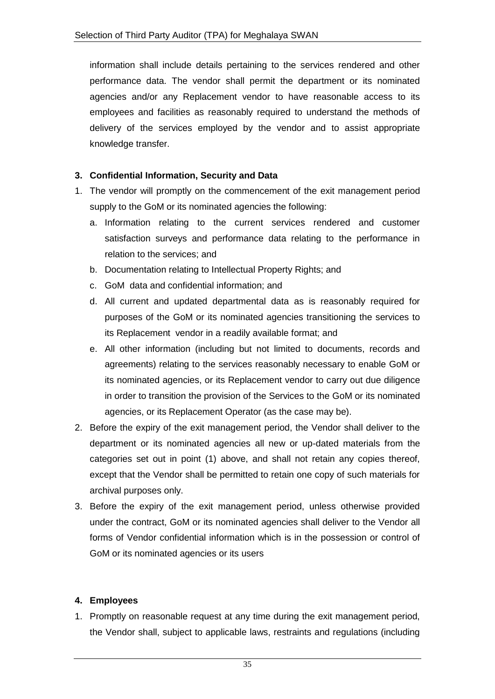information shall include details pertaining to the services rendered and other performance data. The vendor shall permit the department or its nominated agencies and/or any Replacement vendor to have reasonable access to its employees and facilities as reasonably required to understand the methods of delivery of the services employed by the vendor and to assist appropriate knowledge transfer.

#### **3. Confidential Information, Security and Data**

- 1. The vendor will promptly on the commencement of the exit management period supply to the GoM or its nominated agencies the following:
	- a. Information relating to the current services rendered and customer satisfaction surveys and performance data relating to the performance in relation to the services; and
	- b. Documentation relating to Intellectual Property Rights; and
	- c. GoM data and confidential information; and
	- d. All current and updated departmental data as is reasonably required for purposes of the GoM or its nominated agencies transitioning the services to its Replacement vendor in a readily available format; and
	- e. All other information (including but not limited to documents, records and agreements) relating to the services reasonably necessary to enable GoM or its nominated agencies, or its Replacement vendor to carry out due diligence in order to transition the provision of the Services to the GoM or its nominated agencies, or its Replacement Operator (as the case may be).
- 2. Before the expiry of the exit management period, the Vendor shall deliver to the department or its nominated agencies all new or up-dated materials from the categories set out in point (1) above, and shall not retain any copies thereof, except that the Vendor shall be permitted to retain one copy of such materials for archival purposes only.
- 3. Before the expiry of the exit management period, unless otherwise provided under the contract, GoM or its nominated agencies shall deliver to the Vendor all forms of Vendor confidential information which is in the possession or control of GoM or its nominated agencies or its users

#### **4. Employees**

1. Promptly on reasonable request at any time during the exit management period, the Vendor shall, subject to applicable laws, restraints and regulations (including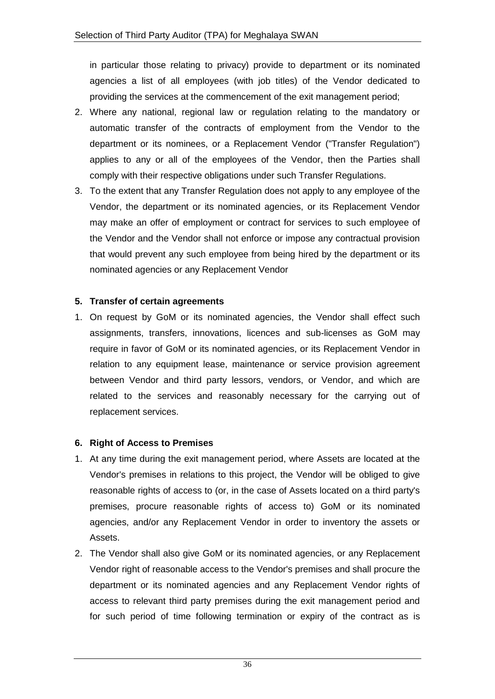in particular those relating to privacy) provide to department or its nominated agencies a list of all employees (with job titles) of the Vendor dedicated to providing the services at the commencement of the exit management period;

- 2. Where any national, regional law or regulation relating to the mandatory or automatic transfer of the contracts of employment from the Vendor to the department or its nominees, or a Replacement Vendor ("Transfer Regulation") applies to any or all of the employees of the Vendor, then the Parties shall comply with their respective obligations under such Transfer Regulations.
- 3. To the extent that any Transfer Regulation does not apply to any employee of the Vendor, the department or its nominated agencies, or its Replacement Vendor may make an offer of employment or contract for services to such employee of the Vendor and the Vendor shall not enforce or impose any contractual provision that would prevent any such employee from being hired by the department or its nominated agencies or any Replacement Vendor

#### **5. Transfer of certain agreements**

1. On request by GoM or its nominated agencies, the Vendor shall effect such assignments, transfers, innovations, licences and sub-licenses as GoM may require in favor of GoM or its nominated agencies, or its Replacement Vendor in relation to any equipment lease, maintenance or service provision agreement between Vendor and third party lessors, vendors, or Vendor, and which are related to the services and reasonably necessary for the carrying out of replacement services.

#### **6. Right of Access to Premises**

- 1. At any time during the exit management period, where Assets are located at the Vendor's premises in relations to this project, the Vendor will be obliged to give reasonable rights of access to (or, in the case of Assets located on a third party's premises, procure reasonable rights of access to) GoM or its nominated agencies, and/or any Replacement Vendor in order to inventory the assets or Assets.
- 2. The Vendor shall also give GoM or its nominated agencies, or any Replacement Vendor right of reasonable access to the Vendor's premises and shall procure the department or its nominated agencies and any Replacement Vendor rights of access to relevant third party premises during the exit management period and for such period of time following termination or expiry of the contract as is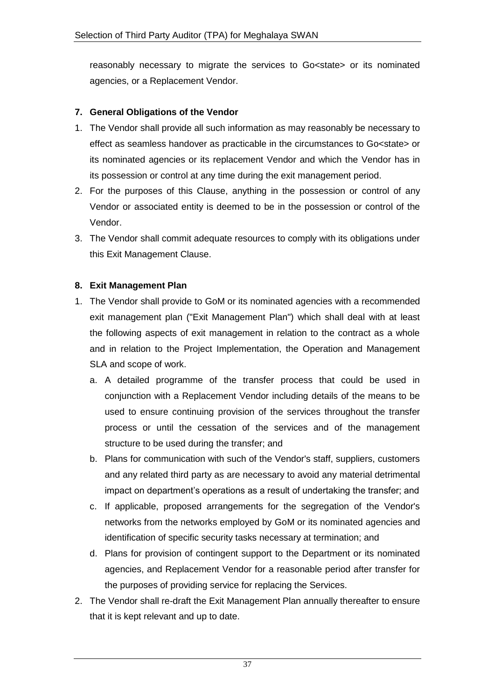reasonably necessary to migrate the services to Go<state> or its nominated agencies, or a Replacement Vendor.

#### **7. General Obligations of the Vendor**

- 1. The Vendor shall provide all such information as may reasonably be necessary to effect as seamless handover as practicable in the circumstances to Go<state> or its nominated agencies or its replacement Vendor and which the Vendor has in its possession or control at any time during the exit management period.
- 2. For the purposes of this Clause, anything in the possession or control of any Vendor or associated entity is deemed to be in the possession or control of the Vendor.
- 3. The Vendor shall commit adequate resources to comply with its obligations under this Exit Management Clause.

#### **8. Exit Management Plan**

- 1. The Vendor shall provide to GoM or its nominated agencies with a recommended exit management plan ("Exit Management Plan") which shall deal with at least the following aspects of exit management in relation to the contract as a whole and in relation to the Project Implementation, the Operation and Management SLA and scope of work.
	- a. A detailed programme of the transfer process that could be used in conjunction with a Replacement Vendor including details of the means to be used to ensure continuing provision of the services throughout the transfer process or until the cessation of the services and of the management structure to be used during the transfer; and
	- b. Plans for communication with such of the Vendor's staff, suppliers, customers and any related third party as are necessary to avoid any material detrimental impact on department's operations as a result of undertaking the transfer; and
	- c. If applicable, proposed arrangements for the segregation of the Vendor's networks from the networks employed by GoM or its nominated agencies and identification of specific security tasks necessary at termination; and
	- d. Plans for provision of contingent support to the Department or its nominated agencies, and Replacement Vendor for a reasonable period after transfer for the purposes of providing service for replacing the Services.
- 2. The Vendor shall re-draft the Exit Management Plan annually thereafter to ensure that it is kept relevant and up to date.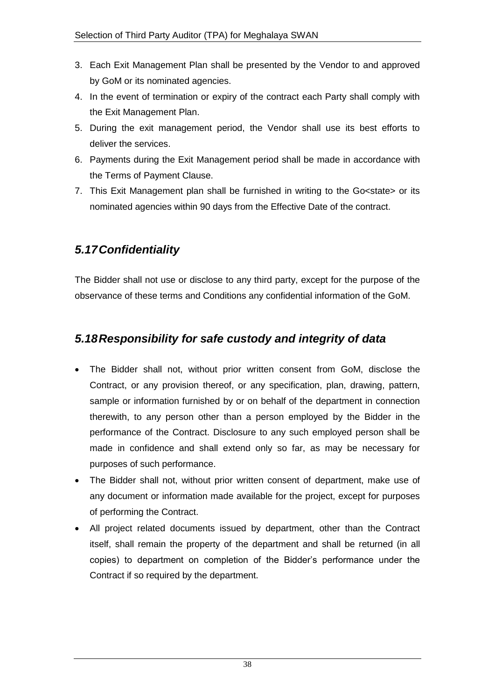- 3. Each Exit Management Plan shall be presented by the Vendor to and approved by GoM or its nominated agencies.
- 4. In the event of termination or expiry of the contract each Party shall comply with the Exit Management Plan.
- 5. During the exit management period, the Vendor shall use its best efforts to deliver the services.
- 6. Payments during the Exit Management period shall be made in accordance with the Terms of Payment Clause.
- 7. This Exit Management plan shall be furnished in writing to the Go<state> or its nominated agencies within 90 days from the Effective Date of the contract.

# *5.17Confidentiality*

The Bidder shall not use or disclose to any third party, except for the purpose of the observance of these terms and Conditions any confidential information of the GoM.

# *5.18Responsibility for safe custody and integrity of data*

- The Bidder shall not, without prior written consent from GoM, disclose the Contract, or any provision thereof, or any specification, plan, drawing, pattern, sample or information furnished by or on behalf of the department in connection therewith, to any person other than a person employed by the Bidder in the performance of the Contract. Disclosure to any such employed person shall be made in confidence and shall extend only so far, as may be necessary for purposes of such performance.
- The Bidder shall not, without prior written consent of department, make use of any document or information made available for the project, except for purposes of performing the Contract.
- All project related documents issued by department, other than the Contract itself, shall remain the property of the department and shall be returned (in all copies) to department on completion of the Bidder"s performance under the Contract if so required by the department.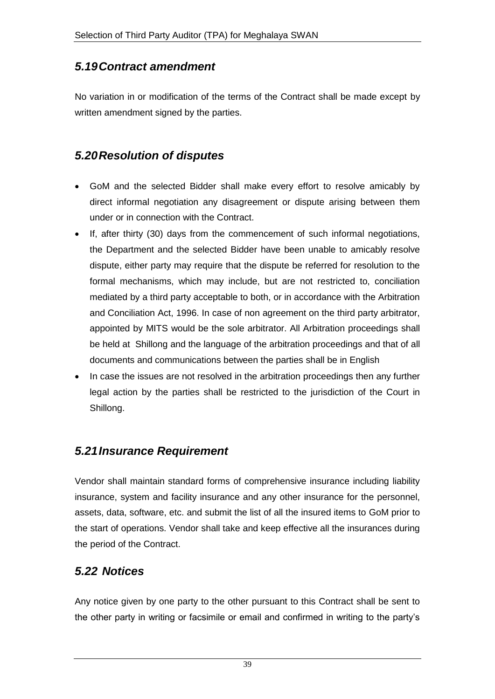## *5.19Contract amendment*

No variation in or modification of the terms of the Contract shall be made except by written amendment signed by the parties.

# *5.20Resolution of disputes*

- GoM and the selected Bidder shall make every effort to resolve amicably by direct informal negotiation any disagreement or dispute arising between them under or in connection with the Contract.
- If, after thirty (30) days from the commencement of such informal negotiations, the Department and the selected Bidder have been unable to amicably resolve dispute, either party may require that the dispute be referred for resolution to the formal mechanisms, which may include, but are not restricted to, conciliation mediated by a third party acceptable to both, or in accordance with the Arbitration and Conciliation Act, 1996. In case of non agreement on the third party arbitrator, appointed by MITS would be the sole arbitrator. All Arbitration proceedings shall be held at Shillong and the language of the arbitration proceedings and that of all documents and communications between the parties shall be in English
- In case the issues are not resolved in the arbitration proceedings then any further legal action by the parties shall be restricted to the jurisdiction of the Court in Shillong.

## *5.21Insurance Requirement*

Vendor shall maintain standard forms of comprehensive insurance including liability insurance, system and facility insurance and any other insurance for the personnel, assets, data, software, etc. and submit the list of all the insured items to GoM prior to the start of operations. Vendor shall take and keep effective all the insurances during the period of the Contract.

#### *5.22 Notices*

Any notice given by one party to the other pursuant to this Contract shall be sent to the other party in writing or facsimile or email and confirmed in writing to the party"s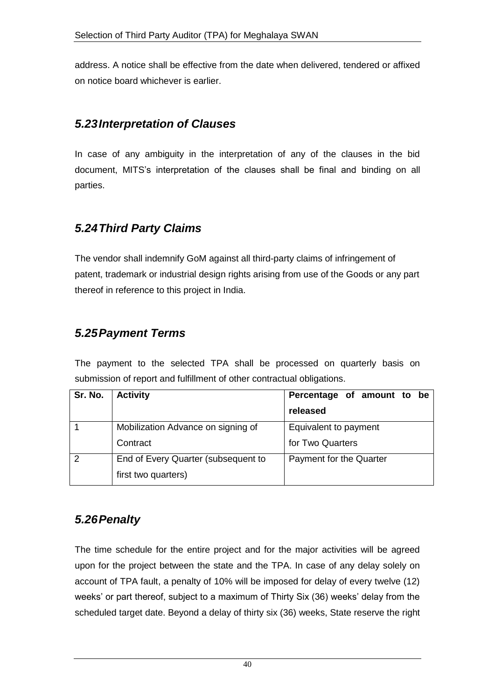address. A notice shall be effective from the date when delivered, tendered or affixed on notice board whichever is earlier.

## *5.23Interpretation of Clauses*

In case of any ambiguity in the interpretation of any of the clauses in the bid document, MITS"s interpretation of the clauses shall be final and binding on all parties.

# *5.24Third Party Claims*

The vendor shall indemnify GoM against all third-party claims of infringement of patent, trademark or industrial design rights arising from use of the Goods or any part thereof in reference to this project in India.

# *5.25Payment Terms*

The payment to the selected TPA shall be processed on quarterly basis on submission of report and fulfillment of other contractual obligations.

| Sr. No. | <b>Activity</b>                     | Percentage of amount to be |  |
|---------|-------------------------------------|----------------------------|--|
|         |                                     | released                   |  |
|         | Mobilization Advance on signing of  | Equivalent to payment      |  |
|         | Contract                            | for Two Quarters           |  |
|         | End of Every Quarter (subsequent to | Payment for the Quarter    |  |
|         | first two quarters)                 |                            |  |

# *5.26Penalty*

The time schedule for the entire project and for the major activities will be agreed upon for the project between the state and the TPA. In case of any delay solely on account of TPA fault, a penalty of 10% will be imposed for delay of every twelve (12) weeks' or part thereof, subject to a maximum of Thirty Six (36) weeks' delay from the scheduled target date. Beyond a delay of thirty six (36) weeks, State reserve the right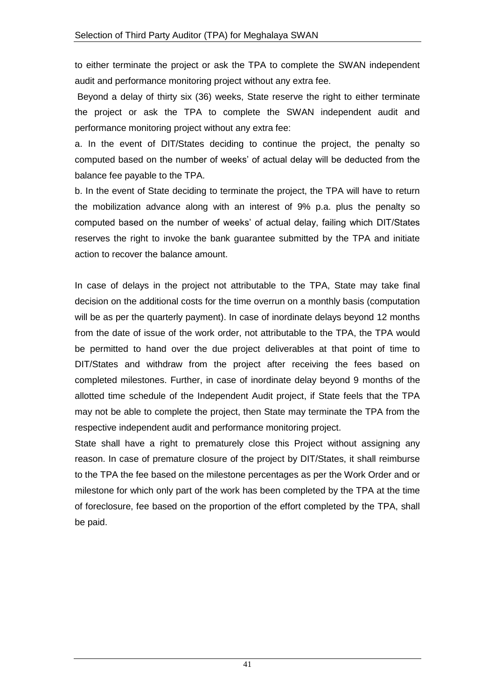to either terminate the project or ask the TPA to complete the SWAN independent audit and performance monitoring project without any extra fee.

Beyond a delay of thirty six (36) weeks, State reserve the right to either terminate the project or ask the TPA to complete the SWAN independent audit and performance monitoring project without any extra fee:

a. In the event of DIT/States deciding to continue the project, the penalty so computed based on the number of weeks" of actual delay will be deducted from the balance fee payable to the TPA.

b. In the event of State deciding to terminate the project, the TPA will have to return the mobilization advance along with an interest of 9% p.a. plus the penalty so computed based on the number of weeks" of actual delay, failing which DIT/States reserves the right to invoke the bank guarantee submitted by the TPA and initiate action to recover the balance amount.

In case of delays in the project not attributable to the TPA, State may take final decision on the additional costs for the time overrun on a monthly basis (computation will be as per the quarterly payment). In case of inordinate delays beyond 12 months from the date of issue of the work order, not attributable to the TPA, the TPA would be permitted to hand over the due project deliverables at that point of time to DIT/States and withdraw from the project after receiving the fees based on completed milestones. Further, in case of inordinate delay beyond 9 months of the allotted time schedule of the Independent Audit project, if State feels that the TPA may not be able to complete the project, then State may terminate the TPA from the respective independent audit and performance monitoring project.

State shall have a right to prematurely close this Project without assigning any reason. In case of premature closure of the project by DIT/States, it shall reimburse to the TPA the fee based on the milestone percentages as per the Work Order and or milestone for which only part of the work has been completed by the TPA at the time of foreclosure, fee based on the proportion of the effort completed by the TPA, shall be paid.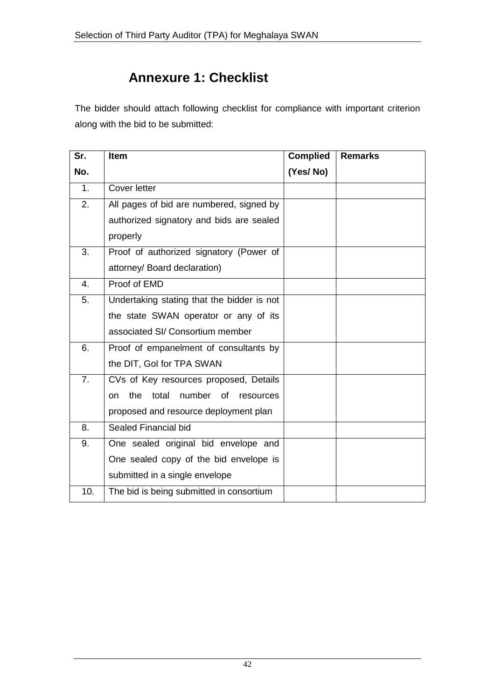# **Annexure 1: Checklist**

The bidder should attach following checklist for compliance with important criterion along with the bid to be submitted:

| Sr.            | <b>Item</b>                                             | <b>Complied</b> | <b>Remarks</b> |
|----------------|---------------------------------------------------------|-----------------|----------------|
| No.            |                                                         | (Yes/No)        |                |
| 1 <sub>1</sub> | Cover letter                                            |                 |                |
| 2.             | All pages of bid are numbered, signed by                |                 |                |
|                | authorized signatory and bids are sealed                |                 |                |
|                | properly                                                |                 |                |
| 3.             | Proof of authorized signatory (Power of                 |                 |                |
|                | attorney/ Board declaration)                            |                 |                |
| $\mathbf{4}$ . | Proof of EMD                                            |                 |                |
| 5.             | Undertaking stating that the bidder is not              |                 |                |
|                | the state SWAN operator or any of its                   |                 |                |
|                | associated SI/ Consortium member                        |                 |                |
| 6.             | Proof of empanelment of consultants by                  |                 |                |
|                | the DIT, Gol for TPA SWAN                               |                 |                |
| 7 <sub>1</sub> | CVs of Key resources proposed, Details                  |                 |                |
|                | number of<br>the<br>total<br><sub>on</sub><br>resources |                 |                |
|                | proposed and resource deployment plan                   |                 |                |
| 8.             | Sealed Financial bid                                    |                 |                |
| 9.             | One sealed original bid envelope and                    |                 |                |
|                | One sealed copy of the bid envelope is                  |                 |                |
|                | submitted in a single envelope                          |                 |                |
| 10.            | The bid is being submitted in consortium                |                 |                |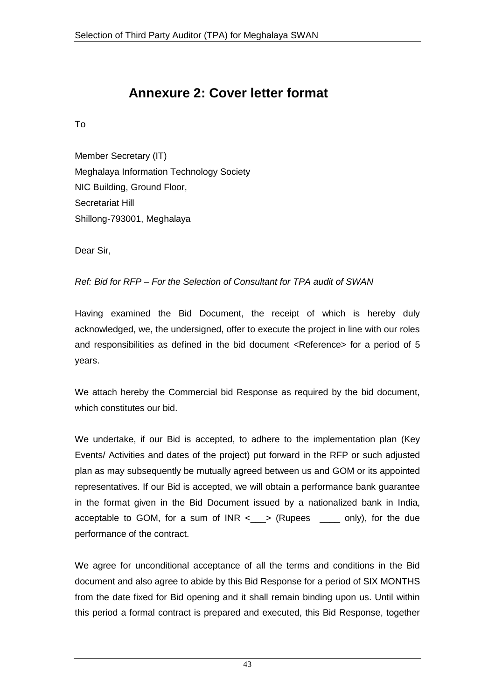# **Annexure 2: Cover letter format**

To

Member Secretary (IT) Meghalaya Information Technology Society NIC Building, Ground Floor, Secretariat Hill Shillong-793001, Meghalaya

Dear Sir,

#### *Ref: Bid for RFP – For the Selection of Consultant for TPA audit of SWAN*

Having examined the Bid Document, the receipt of which is hereby duly acknowledged, we, the undersigned, offer to execute the project in line with our roles and responsibilities as defined in the bid document <Reference> for a period of 5 years.

We attach hereby the Commercial bid Response as required by the bid document, which constitutes our bid.

We undertake, if our Bid is accepted, to adhere to the implementation plan (Key Events/ Activities and dates of the project) put forward in the RFP or such adjusted plan as may subsequently be mutually agreed between us and GOM or its appointed representatives. If our Bid is accepted, we will obtain a performance bank guarantee in the format given in the Bid Document issued by a nationalized bank in India, acceptable to GOM, for a sum of  $INR < \_\_\$  (Rupees  $\_\_\_\_$  only), for the due performance of the contract.

We agree for unconditional acceptance of all the terms and conditions in the Bid document and also agree to abide by this Bid Response for a period of SIX MONTHS from the date fixed for Bid opening and it shall remain binding upon us. Until within this period a formal contract is prepared and executed, this Bid Response, together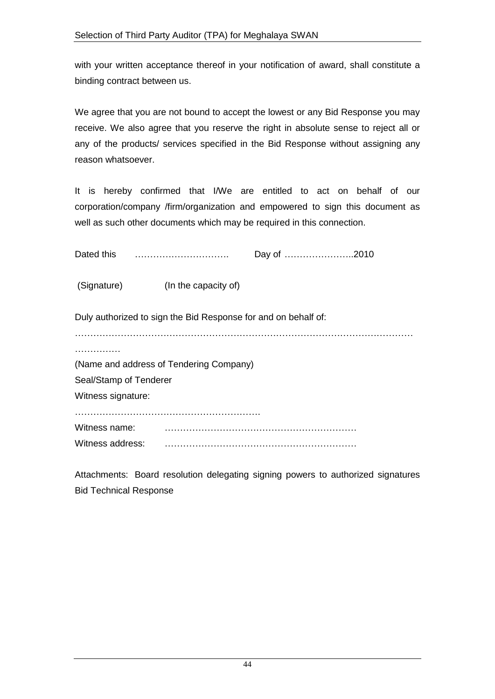with your written acceptance thereof in your notification of award, shall constitute a binding contract between us.

We agree that you are not bound to accept the lowest or any Bid Response you may receive. We also agree that you reserve the right in absolute sense to reject all or any of the products/ services specified in the Bid Response without assigning any reason whatsoever.

It is hereby confirmed that I/We are entitled to act on behalf of our corporation/company /firm/organization and empowered to sign this document as well as such other documents which may be required in this connection.

| Dated this |  |  |
|------------|--|--|
|            |  |  |

(Signature) (In the capacity of)

Duly authorized to sign the Bid Response for and on behalf of:

…………………………………………………………………………………………………

………………

(Name and address of Tendering Company)

Seal/Stamp of Tenderer

Witness signature:

…………………………………………………….

Witness name: **witherwith the contract of the contract of the contract of the contract of the contract of the contract of the contract of the contract of the contract of the contract of the contract of the contract of the** 

Witness address: ………………………………………………………

Attachments: Board resolution delegating signing powers to authorized signatures Bid Technical Response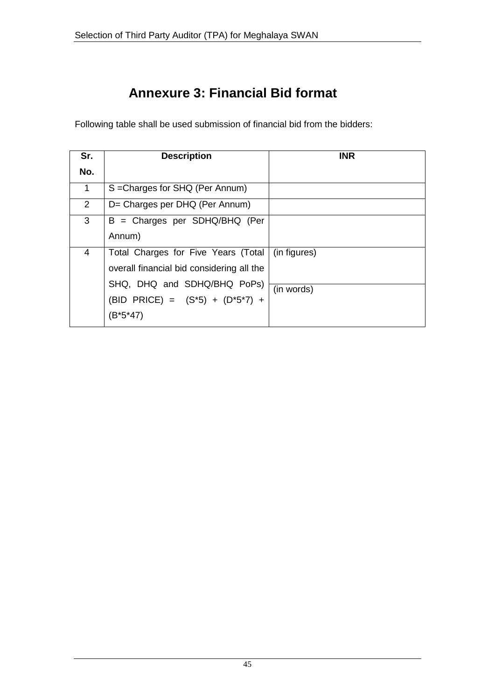# **Annexure 3: Financial Bid format**

Following table shall be used submission of financial bid from the bidders:

| Sr.            | <b>Description</b>                        | <b>INR</b>   |
|----------------|-------------------------------------------|--------------|
| No.            |                                           |              |
| 1              | S = Charges for SHQ (Per Annum)           |              |
| $\overline{2}$ | D= Charges per DHQ (Per Annum)            |              |
| 3              | B = Charges per SDHQ/BHQ (Per             |              |
|                | Annum)                                    |              |
| 4              | Total Charges for Five Years (Total       | (in figures) |
|                | overall financial bid considering all the |              |
|                | SHQ, DHQ and SDHQ/BHQ PoPs)               | (in words)   |
|                | (BID PRICE) = $(S*5) + (D*5*7) +$         |              |
|                | (B*5*47)                                  |              |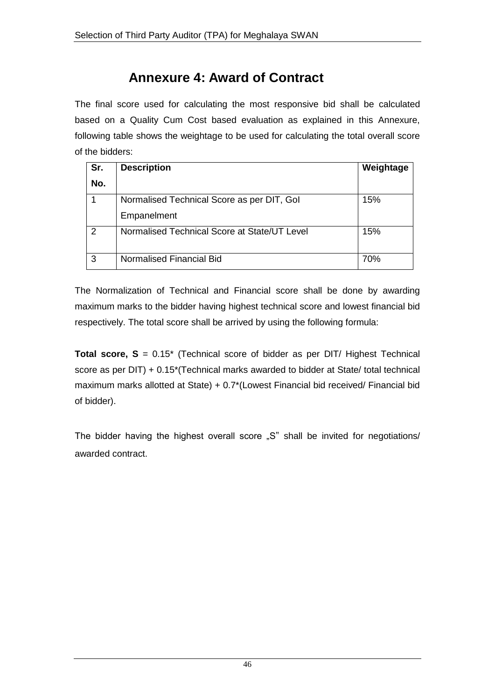# **Annexure 4: Award of Contract**

The final score used for calculating the most responsive bid shall be calculated based on a Quality Cum Cost based evaluation as explained in this Annexure, following table shows the weightage to be used for calculating the total overall score of the bidders:

| Sr. | <b>Description</b>                           | Weightage |
|-----|----------------------------------------------|-----------|
| No. |                                              |           |
|     | Normalised Technical Score as per DIT, Gol   | 15%       |
|     | Empanelment                                  |           |
| 2   | Normalised Technical Score at State/UT Level | 15%       |
| 3   | Normalised Financial Bid                     | 70%       |

The Normalization of Technical and Financial score shall be done by awarding maximum marks to the bidder having highest technical score and lowest financial bid respectively. The total score shall be arrived by using the following formula:

**Total score, S** = 0.15<sup>\*</sup> (Technical score of bidder as per DIT/ Highest Technical score as per DIT) + 0.15\*(Technical marks awarded to bidder at State/ total technical maximum marks allotted at State) + 0.7\*(Lowest Financial bid received/ Financial bid of bidder).

The bidder having the highest overall score "S" shall be invited for negotiations/ awarded contract.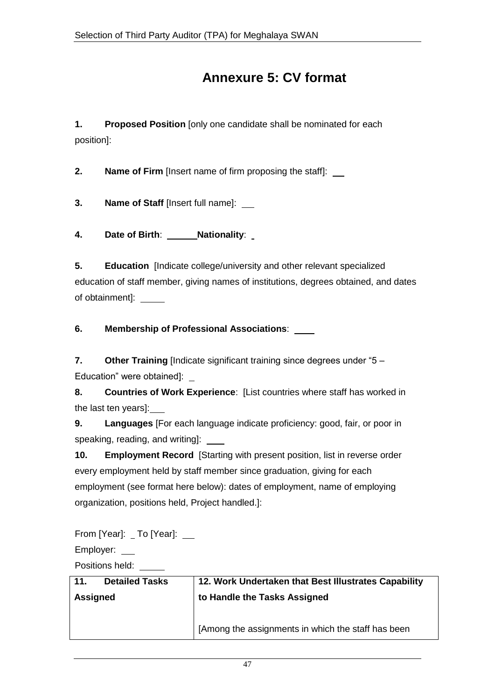# **Annexure 5: CV format**

**1. Proposed Position** [only one candidate shall be nominated for each position]:

**2. Name of Firm** [Insert name of firm proposing the staff]:

**3. Name of Staff** [Insert full name]:

**4. Date of Birth**: **Nationality**:

**5. Education** [Indicate college/university and other relevant specialized education of staff member, giving names of institutions, degrees obtained, and dates of obtainment]:

**6. Membership of Professional Associations**:

**7. Other Training** [Indicate significant training since degrees under "5 – Education" were obtained]:

**8. Countries of Work Experience**: [List countries where staff has worked in the last ten years]:

**9. Languages** [For each language indicate proficiency: good, fair, or poor in speaking, reading, and writing]:

**10. Employment Record** [Starting with present position, list in reverse order every employment held by staff member since graduation, giving for each employment (see format here below): dates of employment, name of employing organization, positions held, Project handled.]:

From [Year]: \_ To [Year]: \_\_\_

Employer: \_\_

Positions held:

| <b>Detailed Tasks</b><br>11. | 12. Work Undertaken that Best Illustrates Capability |
|------------------------------|------------------------------------------------------|
| <b>Assigned</b>              | to Handle the Tasks Assigned                         |
|                              |                                                      |
|                              | [Among the assignments in which the staff has been   |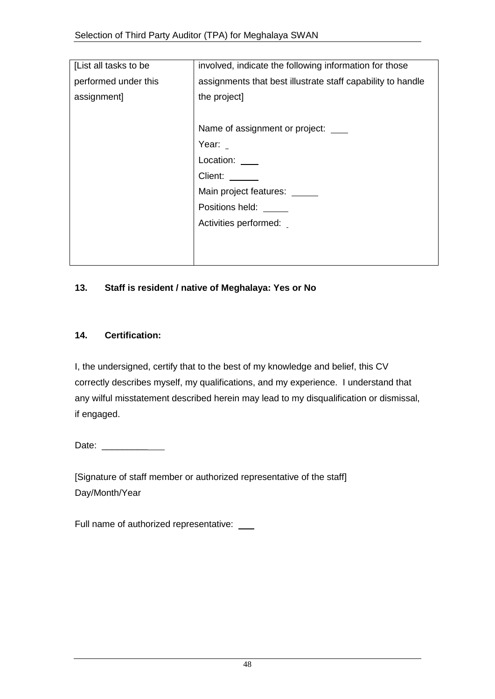| involved, indicate the following information for those      |
|-------------------------------------------------------------|
| assignments that best illustrate staff capability to handle |
| the project]                                                |
|                                                             |
| Name of assignment or project:                              |
| Year: $\overline{\phantom{a}}$                              |
| Location:                                                   |
| Client:                                                     |
| Main project features: _                                    |
| Positions held:                                             |
| Activities performed:                                       |
|                                                             |
|                                                             |
|                                                             |

#### **13. Staff is resident / native of Meghalaya: Yes or No**

#### **14. Certification:**

I, the undersigned, certify that to the best of my knowledge and belief, this CV correctly describes myself, my qualifications, and my experience. I understand that any wilful misstatement described herein may lead to my disqualification or dismissal, if engaged.

Date: \_\_\_\_\_\_\_\_\_

[Signature of staff member or authorized representative of the staff] Day/Month/Year

Full name of authorized representative: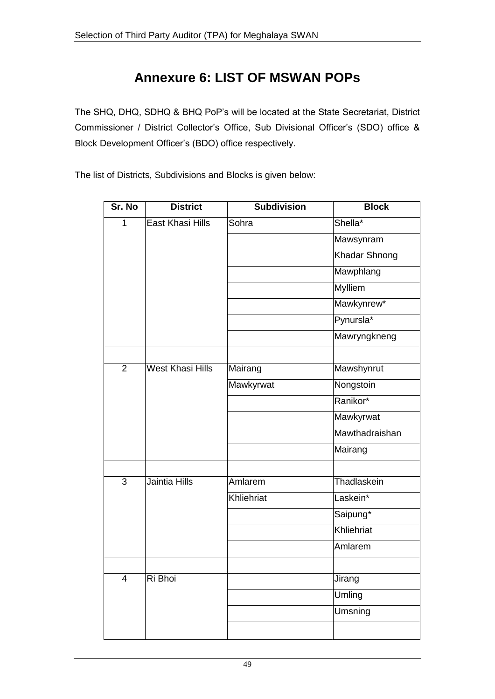# **Annexure 6: LIST OF MSWAN POPs**

The SHQ, DHQ, SDHQ & BHQ PoP"s will be located at the State Secretariat, District Commissioner / District Collector's Office, Sub Divisional Officer's (SDO) office & Block Development Officer"s (BDO) office respectively.

The list of Districts, Subdivisions and Blocks is given below:

| Sr. No         | <b>District</b>         | <b>Subdivision</b> | <b>Block</b>          |
|----------------|-------------------------|--------------------|-----------------------|
| $\overline{1}$ | <b>East Khasi Hills</b> | Sohra              | Shella*               |
|                |                         |                    | Mawsynram             |
|                |                         |                    | Khadar Shnong         |
|                |                         |                    | Mawphlang             |
|                |                         |                    | <b>Mylliem</b>        |
|                |                         |                    | Mawkynrew*            |
|                |                         |                    | Pynursla <sup>*</sup> |
|                |                         |                    | Mawryngkneng          |
|                |                         |                    |                       |
| 2              | West Khasi Hills        | Mairang            | Mawshynrut            |
|                |                         | Mawkyrwat          | Nongstoin             |
|                |                         |                    | Ranikor*              |
|                |                         |                    | Mawkyrwat             |
|                |                         |                    | Mawthadraishan        |
|                |                         |                    | Mairang               |
|                |                         |                    |                       |
| 3              | Jaintia Hills           | Amlarem            | Thadlaskein           |
|                |                         | Khliehriat         | Laskein*              |
|                |                         |                    | Saipung*              |
|                |                         |                    | Khliehriat            |
|                |                         |                    | Amlarem               |
|                |                         |                    |                       |
| 4              | Ri Bhoi                 |                    | <b>Jirang</b>         |
|                |                         |                    | Umling                |
|                |                         |                    | <b>Umsning</b>        |
|                |                         |                    |                       |